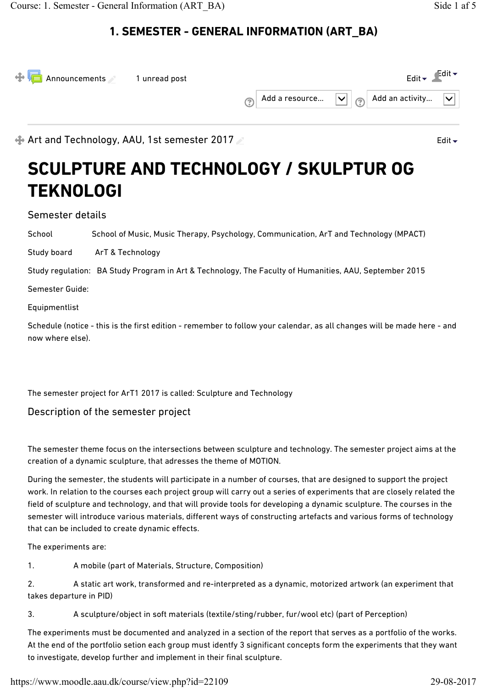| $\bigoplus$ Announcements 1 unread post |  |  | Edit $\blacktriangleright$                                                                                               | $\epsilon$ dit $\blacktriangleright$ |
|-----------------------------------------|--|--|--------------------------------------------------------------------------------------------------------------------------|--------------------------------------|
|                                         |  |  | $\boxed{(\textcircled{2})}$ Add a resource $\boxed{\smile}$ $\boxed{(\textcircled{2})}$ Add an activity $\boxed{\smile}$ |                                      |

Art and Technology, AAU, 1st semester 2017

# **SCULPTURE AND TECHNOLOGY / SKULPTUR OG TEKNOLOGI**

Semester details

School School of Music, Music Therapy, Psychology, Communication, ArT and Technology (MPACT)

Study board ArT & Technology

Study regulation: BA Study Program in Art & Technology, The Faculty of Humanities, AAU, September 2015

Semester Guide:

Equipmentlist

Schedule (notice - this is the first edition - remember to follow your calendar, as all changes will be made here - and now where else).

The semester project for ArT1 2017 is called: Sculpture and Technology

Description of the semester project

The semester theme focus on the intersections between sculpture and technology. The semester project aims at the creation of a dynamic sculpture, that adresses the theme of MOTION.

During the semester, the students will participate in a number of courses, that are designed to support the project work. In relation to the courses each project group will carry out a series of experiments that are closely related the field of sculpture and technology, and that will provide tools for developing a dynamic sculpture. The courses in the semester will introduce various materials, different ways of constructing artefacts and various forms of technology that can be included to create dynamic effects.

The experiments are:

1. A mobile (part of Materials, Structure, Composition)

2. A static art work, transformed and re-interpreted as a dynamic, motorized artwork (an experiment that takes departure in PID)

3. A sculpture/object in soft materials (textile/sting/rubber, fur/wool etc) (part of Perception)

The experiments must be documented and analyzed in a section of the report that serves as a portfolio of the works. At the end of the portfolio setion each group must identfy 3 significant concepts form the experiments that they want to investigate, develop further and implement in their final sculpture.

Edit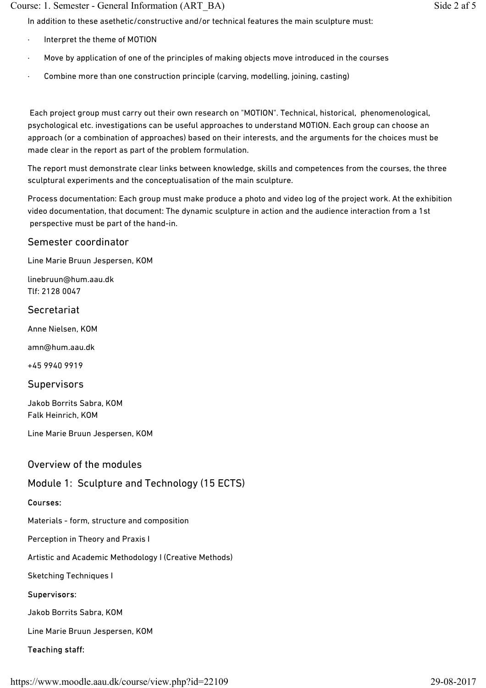### Course: 1. Semester - General Information (ART\_BA) Side 2 af 5

In addition to these asethetic/constructive and/or technical features the main sculpture must:

- Interpret the theme of MOTION
- Move by application of one of the principles of making objects move introduced in the courses
- Combine more than one construction principle (carving, modelling, joining, casting)

 Each project group must carry out their own research on "MOTION". Technical, historical, phenomenological, psychological etc. investigations can be useful approaches to understand MOTION. Each group can choose an approach (or a combination of approaches) based on their interests, and the arguments for the choices must be made clear in the report as part of the problem formulation.

The report must demonstrate clear links between knowledge, skills and competences from the courses, the three sculptural experiments and the conceptualisation of the main sculpture.

Process documentation: Each group must make produce a photo and video log of the project work. At the exhibition video documentation, that document: The dynamic sculpture in action and the audience interaction from a 1st perspective must be part of the hand-in.

### Semester coordinator

Line Marie Bruun Jespersen, KOM

linebruun@hum.aau.dk Tlf: 2128 0047

### Secretariat

Anne Nielsen, KOM

amn@hum.aau.dk

+45 9940 9919

### **Supervisors**

Jakob Borrits Sabra, KOM Falk Heinrich, KOM

Line Marie Bruun Jespersen, KOM

### Overview of the modules

### Module 1: Sculpture and Technology (15 ECTS)

### Courses:

Materials - form, structure and composition

Perception in Theory and Praxis I

Artistic and Academic Methodology I (Creative Methods)

Sketching Techniques I

### Supervisors:

Jakob Borrits Sabra, KOM

Line Marie Bruun Jespersen, KOM

### Teaching staff: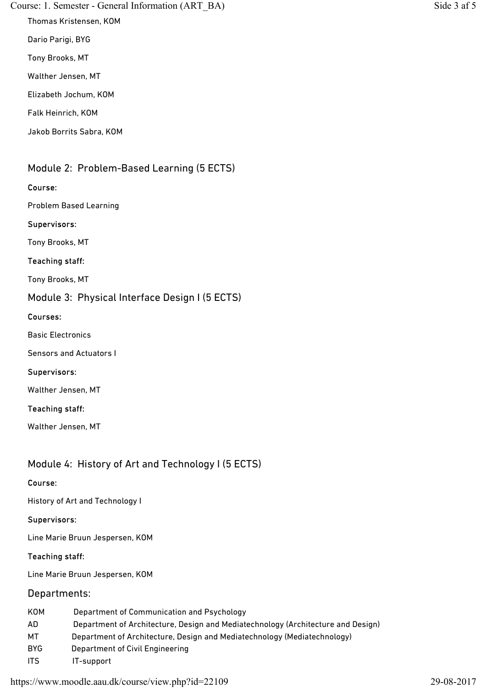### Course: 1. Semester - General Information (ART\_BA) Side 3 af 5

Thomas Kristensen, KOM

Dario Parigi, BYG

Tony Brooks, MT

Walther Jensen, MT

Elizabeth Jochum, KOM

Falk Heinrich, KOM

Jakob Borrits Sabra, KOM

# Module 2: Problem-Based Learning (5 ECTS)

### Course:

Problem Based Learning

### Supervisors:

Tony Brooks, MT

### Teaching staff:

Tony Brooks, MT

### Module 3: Physical Interface Design I (5 ECTS)

### Courses:

Basic Electronics

Sensors and Actuators I

### Supervisors:

Walther Jensen, MT

### Teaching staff:

Walther Jensen, MT

## Module 4: History of Art and Technology I (5 ECTS)

### Course:

History of Art and Technology I

### Supervisors:

Line Marie Bruun Jespersen, KOM

### Teaching staff:

Line Marie Bruun Jespersen, KOM

### Departments:

| KOM  | Department of Communication and Psychology                                       |
|------|----------------------------------------------------------------------------------|
| AD.  | Department of Architecture, Design and Mediatechnology (Architecture and Design) |
| МT   | Department of Architecture, Design and Mediatechnology (Mediatechnology)         |
| BYG. | Department of Civil Engineering                                                  |
| -ITS | IT-support                                                                       |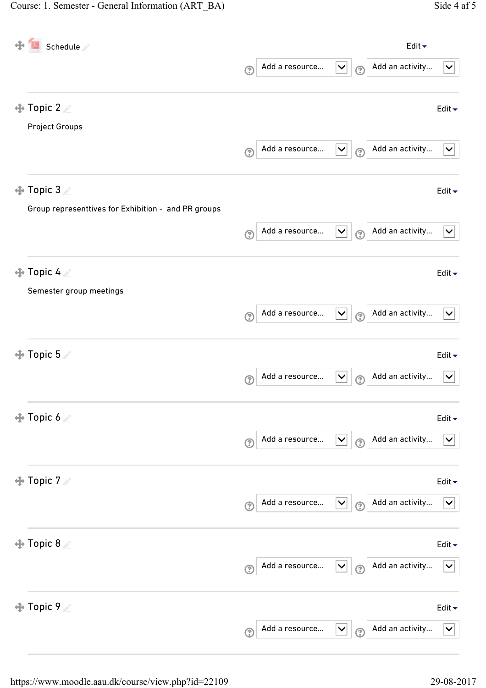| Schedule                                                                          | Edit $\blacktriangleright$                                                                                       |
|-----------------------------------------------------------------------------------|------------------------------------------------------------------------------------------------------------------|
|                                                                                   | Add a resource<br>Add an activity<br>$\checkmark$<br>$\checkmark$<br>$\odot$<br>$\odot$                          |
| $\bigoplus$ Topic 2 $\angle$                                                      | Edit $\blacktriangleright$                                                                                       |
| <b>Project Groups</b>                                                             | Add an activity<br>Add a resource<br>$\blacktriangledown$<br>$\boldsymbol{\mathsf{v}}$<br>$\odot$<br>$\circledR$ |
| $\bigoplus$ Topic 3 $\geq$<br>Group representtives for Exhibition - and PR groups | Edit $\blacktriangleright$                                                                                       |
|                                                                                   | Add an activity<br>Add a resource<br>$\checkmark$<br>$\checkmark$<br>$\circledR$<br>ි                            |
| <b>⊕ Topic 4</b> ≥<br>Semester group meetings                                     | Edit $\blacktriangleright$                                                                                       |
|                                                                                   | Add an activity<br>Add a resource<br>$\blacktriangledown$<br>$\checkmark$<br>$\odot$<br>$\odot$                  |
| $\bigoplus$ Topic 5                                                               | Edit $\blacktriangleright$                                                                                       |
|                                                                                   | Add an activity<br>Add a resource<br>$\checkmark$<br>$\checkmark$<br>$\circledR$<br>ි                            |
| $\bigoplus$ Topic 6 $\geq$                                                        | Edit $\blacktriangledown$                                                                                        |
|                                                                                   | Add an activity<br>Add a resource<br>$\checkmark$<br>$\vert\mathsf{v}\vert$<br>$\odot$<br>$\odot$                |
| $\bigoplus$ Topic 7 $\angle$                                                      | Edit $\blacktriangledown$                                                                                        |
|                                                                                   | Add a resource<br>Add an activity<br>$\checkmark$<br>$\vert\bm{\vee}\vert$<br>$\overline{C}$<br>$\circledR$      |
| $\bigoplus$ Topic 8                                                               | Edit $\blacktriangleright$                                                                                       |
|                                                                                   | Add an activity<br>Add a resource<br>$\vert\bm{\vee}\vert$<br>$\vert\bm{\vee}\vert$<br>$\odot$<br>$\mathcal{C}$  |
| <b>← Topic 9</b>                                                                  | Edit $\blacktriangleright$                                                                                       |
|                                                                                   | Add a resource<br>Add an activity<br>$\blacktriangledown$<br>$\checkmark$<br>$\mathbf{\Omega}$<br>$\mathcal{C}$  |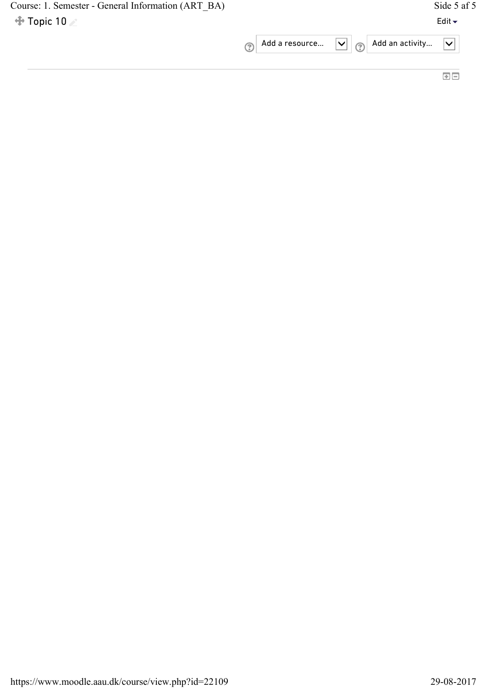| Course: 1. Semester - General Information (ART BA) |                                                                                | Side 5 af 5                |
|----------------------------------------------------|--------------------------------------------------------------------------------|----------------------------|
| $\div$ Topic 10                                    |                                                                                | Edit $\blacktriangleright$ |
|                                                    | Add a resource $\boxed{\vee}$ $\boxed{\oslash}$ Add an activity $\boxed{\vee}$ |                            |
|                                                    |                                                                                |                            |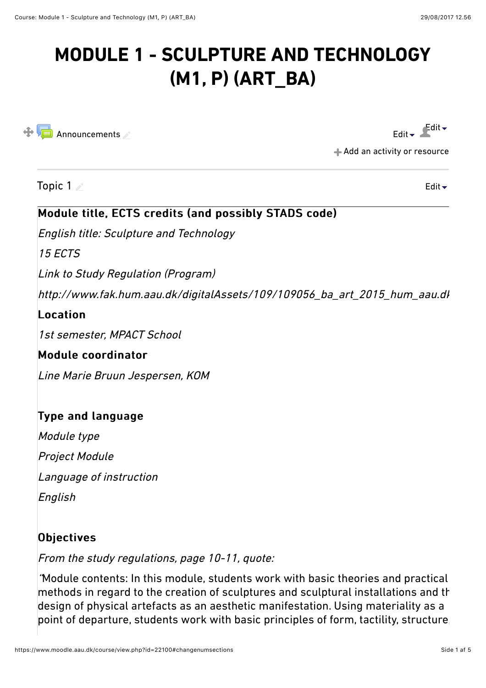# **MODULE 1 - SCULPTURE AND TECHNOLOGY (M1, P) (ART\_BA)**



[Edit](https://www.moodle.aau.dk/course/view.php?id=22100#)  $\bullet$  Edit  $\bullet$ 

[Add an activity or resource](https://www.moodle.aau.dk/course/view.php?id=22100#)

Topic 1

[Edit](https://www.moodle.aau.dk/course/view.php?id=22100#)

# Module title, ECTS credits (and possibly STADS code)

English title: Sculpture and Technology

15 ECTS

Link to Study Regulation (Program)

http://www.fak.hum.aau.dk/digitalAssets/109/109056\_ba\_art\_2015\_hum\_aau.dk.pdf

### $$

1st semester, MPACT School

## Module coordinator

Line Marie Bruun Jespersen, KOM

# Type and language

Module type

Project Module

Language of instruction

English

## Objectives

From the study regulations, page 10-11, quote:

"Module contents: In this module, students work with basic theories and practical  $|$ methods in regard to the creation of sculptures and sculptural installations and th design of physical artefacts as an aesthetic manifestation. Using materiality as a point of departure, students work with basic principles of form, tactility, structure,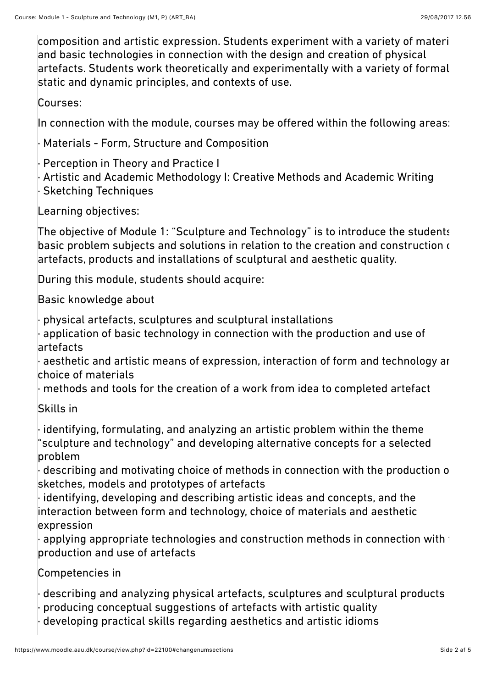$\,$  composition and artistic expression. Students experiment with a variety of materi and basic technologies in connection with the design and creation of physical artefacts. Students work theoretically and experimentally with a variety of formal, static and dynamic principles, and contexts of use.

Courses:

In connection with the module, courses may be offered within the following areas:

· Materials - Form, Structure and Composition

Perception in Theory and Practice I

Artistic and Academic Methodology I: Creative Methods and Academic Writing **Sketching Techniques** 

Learning objectives:

The objective of Module 1: "Sculpture and Technology" is to introduce the students to basic problem subjects and solutions in relation to the creation and construction  $\epsilon$ artefacts, products and installations of sculptural and aesthetic quality.

During this module, students should acquire:

Basic knowledge about

· physical artefacts, sculptures and sculptural installations

application of basic technology in connection with the production and use of artefacts

 $\cdot$  aesthetic and artistic means of expression, interaction of form and technology ar choice of materials

· methods and tools for the creation of a work from idea to completed artefact

Skills in

· identifying, formulating, and analyzing an artistic problem within the theme "sculpture and technology" and developing alternative concepts for a selected problem

 $\cdot$  describing and motivating choice of methods in connection with the production of sketches, models and prototypes of artefacts

· identifying, developing and describing artistic ideas and concepts, and the interaction between form and technology, choice of materials and aesthetic expression

 $\cdot$  applying appropriate technologies and construction methods in connection with  $\dagger$ production and use of artefacts

Competencies in

describing and analyzing physical artefacts, sculptures and sculptural products · producing conceptual suggestions of artefacts with artistic quality developing practical skills regarding aesthetics and artistic idioms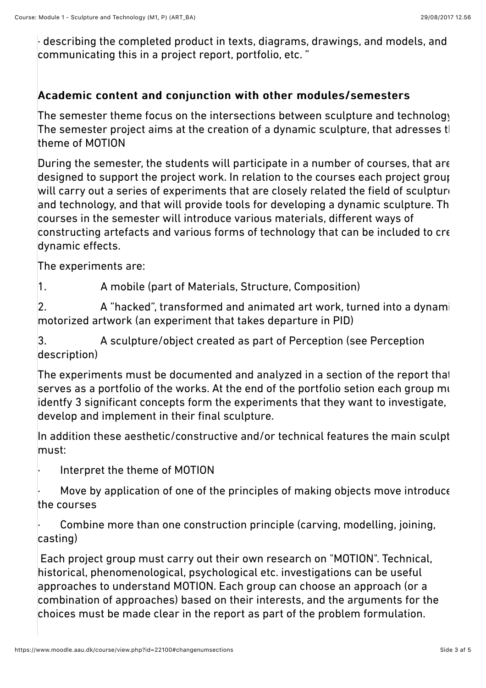$\cdot$  describing the completed product in texts, diagrams, drawings, and models, and communicating this in a project report, portfolio, etc. "

# Academic content and conjunction with other modules/semesters

The semester theme focus on the intersections between sculpture and technology. The semester project aims at the creation of a dynamic sculpture, that adresses the theme of MOTION

During the semester, the students will participate in a number of courses, that are designed to support the project work. In relation to the courses each project group will carry out a series of experiments that are closely related the field of sculpture and technology, and that will provide tools for developing a dynamic sculpture. Th courses in the semester will introduce various materials, diferent ways of  $|$ constructing artefacts and various forms of technology that can be included to cre dynamic efects.

The experiments are:

1. A mobile (part of Materials, Structure, Composition)

 $|2.$  A "hacked", transformed and animated art work, turned into a dynamic motorized artwork (an experiment that takes departure in PID)

3. A sculpture/object created as part of Perception (see Perception description)

The experiments must be documented and analyzed in a section of the report that serves as a portfolio of the works. At the end of the portfolio setion each group  $m_1$ identfy 3 significant concepts form the experiments that they want to investigate, develop and implement in their final sculpture.

In addition these aesthetic/constructive and/or technical features the main sculpt must:

Interpret the theme of MOTION

Move by application of one of the principles of making objects move introduce the courses

Combine more than one construction principle (carving, modelling, joining, casting)

 Each project group must carry out their own research on "MOTION". Technical, historical, phenomenological, psychological etc. investigations can be useful approaches to understand MOTION. Each group can choose an approach (or a combination of approaches) based on their interests, and the arguments for the choices must be made clear in the report as part of the problem formulation.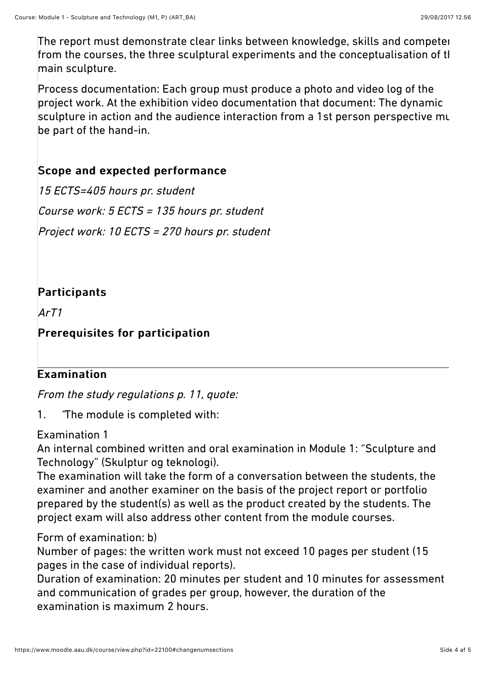The report must demonstrate clear links between knowledge, skills and competen from the courses, the three sculptural experiments and the conceptualisation of tl main sculpture.

Process documentation: Each group must produce a photo and video log of the project work. At the exhibition video documentation that document: The dynamic sculpture in action and the audience interaction from a 1st person perspective mu be part of the hand-in.

# Scope and expected performance

15 ECTS=405 hours pr. student Course work: 5 ECTS = 135 hours pr. student Project work: 10 ECTS = 270 hours pr. student

# Participants

ArT1

# Prerequisites for participation

# Examination

From the study regulations p. 11, quote:

1. "The module is completed with:

## Examination 1

An internal combined written and oral examination in Module 1: "Sculpture and Technology" (Skulptur og teknologi).

The examination will take the form of a conversation between the students, the examiner and another examiner on the basis of the project report or portfolio prepared by the student(s) as well as the product created by the students. The project exam will also address other content from the module courses.

## Form of examination: b)

Number of pages: the written work must not exceed 10 pages per student (15 pages in the case of individual reports).

Duration of examination: 20 minutes per student and 10 minutes for assessment and communication of grades per group, however, the duration of the examination is maximum 2 hours.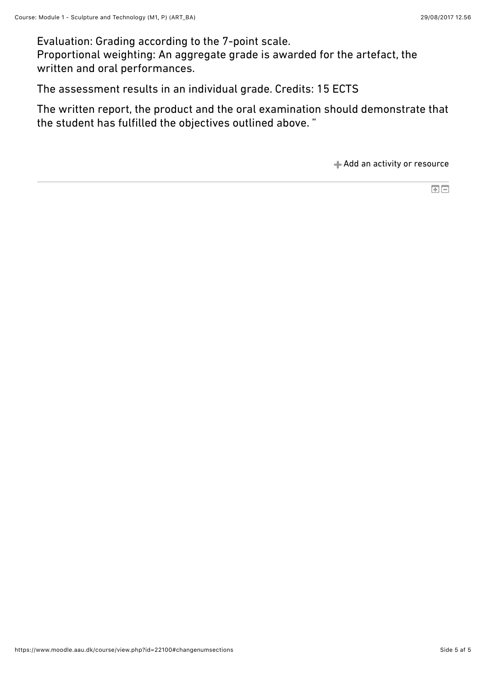Evaluation: Grading according to the 7-point scale. Proportional weighting: An aggregate grade is awarded for the artefact, the written and oral performances.

The assessment results in an individual grade. Credits: 15 ECTS

The written report, the product and the oral examination should demonstrate that the student has fulfilled the objectives outlined above. "

[Add an activity or resource](https://www.moodle.aau.dk/course/view.php?id=22100#)

 $\blacksquare$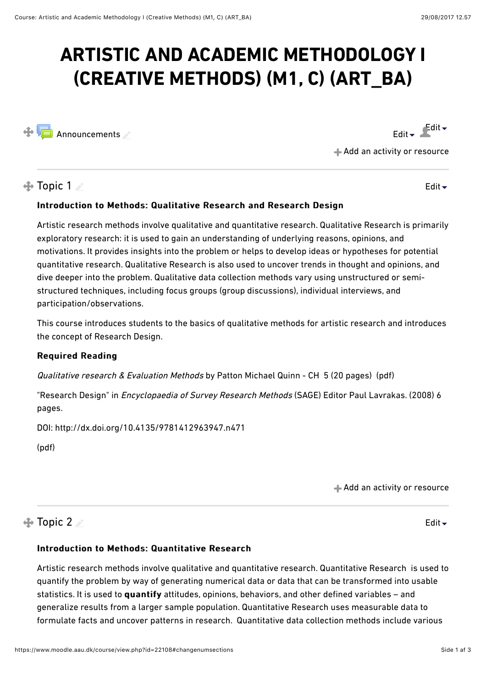# **ARTISTIC AND ACADEMIC METHODOLOGY I (CREATIVE METHODS) (M1, C) (ART\_BA)**



[Edit](https://www.moodle.aau.dk/course/view.php?id=22108#)  $\bullet$  Edit  $\bullet$ 

[Edit](https://www.moodle.aau.dk/course/view.php?id=22108#)

[Add an activity or resource](https://www.moodle.aau.dk/course/view.php?id=22108#)

 $\triangle$  Topic 1

### Introduction to Methods: Qualitative Research and Research Design

Artistic research methods involve qualitative and quantitative research. Qualitative Research is primarily exploratory research: it is used to gain an understanding of underlying reasons, opinions, and motivations. It provides insights into the problem or helps to develop ideas or hypotheses for potential quantitative research. Qualitative Research is also used to uncover trends in thought and opinions, and dive deeper into the problem. Qualitative data collection methods vary using unstructured or semistructured techniques, including focus groups (group discussions), individual interviews, and participation/observations.

This course introduces students to the basics of qualitative methods for artistic research and introduces the concept of Research Design.

### Required Reading Required Reading

Qualitative research & Evaluation Methods by Patton Michael Quinn - CH 5 (20 pages) (pdf)

"Research Design" in *Encyclopaedia of Survey Research Methods* (SAGE) Editor Paul Lavrakas. (2008) 6 pages.

DOI: http://dx.doi.org/10.4135/9781412963947.n471

[\(pdf](https://www.moodle.aau.dk/pluginfile.php/972244/course/section/325992/Survey%20Research%20Methods.SAGE.pdf))

[Add an activity or resource](https://www.moodle.aau.dk/course/view.php?id=22108#)

# $\bigoplus$  Topic 2

[Edit](https://www.moodle.aau.dk/course/view.php?id=22108#) $\div$ 

### Introduction to Methods: Quantitative Research

Artistic research methods involve qualitative and quantitative research. Quantitative Research is used to quantify the problem by way of generating numerical data or data that can be transformed into usable statistics. It is used to quantify attitudes, opinions, behaviors, and other defined variables - and generalize results from a larger sample population. Quantitative Research uses measurable data to formulate facts and uncover patterns in research. Quantitative data collection methods include various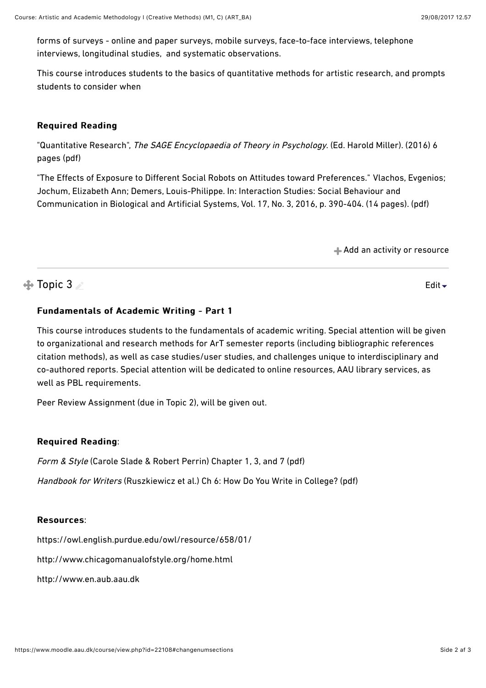forms of surveys - online and paper surveys, mobile surveys, face-to-face interviews, telephone interviews, longitudinal studies, and systematic observations.

This course introduces students to the basics of quantitative methods for artistic research, and prompts students to consider when

### Required Reading Required Reading

"Quantitative Research", The SAGE Encyclopaedia of Theory in Psychology. (Ed. Harold Miller). (2016) 6 pages [\(pdf\)](https://www.moodle.aau.dk/pluginfile.php/972244/course/section/325993/Quantitative%20Research.pdf)

"The Efects of Exposure to Dif[erent Social Robots on Attitudes toward Preferences.](http://vbn.aau.dk/en/publications/the-effects-of-exposure-to-different-social-robots-on-attitudes-toward-preferences(24b4911f-e5cd-4a8f-9c94-8301e814bce7).html)" [Vlachos, Evgenios;](http://vbn.aau.dk/en/persons/evgenios-vlachos(6788e3b2-9bfd-4453-b025-1fbac39a66c6).html) [Jochum, Elizabeth Ann; Demers, Louis-Philippe. In: Interaction Studies: Social Behaviour and](http://vbn.aau.dk/en/persons/elizabeth-jochum(8e35c2d2-0951-45e6-9659-855f438b5e70).html) [Communication in Biological and Artificial Systems, Vol. 17, No. 3, 2016, p. 390-404. \(14 pages](http://vbn.aau.dk/en/journals/interaction-studies(64f1b9ea-2a2f-423c-b0b9-6134e8f68e32).html)). (pdf)

[Add an activity or resource](https://www.moodle.aau.dk/course/view.php?id=22108#)

# $\triangle$  Topic 3

[Edit](https://www.moodle.aau.dk/course/view.php?id=22108#) $\div$ 

### Fundamentals of Academic Writing - Part 1

This course introduces students to the fundamentals of academic writing. Special attention will be given to organizational and research methods for ArT semester reports (including bibliographic references citation methods), as well as case studies/user studies, and challenges unique to interdisciplinary and co-authored reports. Special attention will be dedicated to online resources, AAU library services, as well as PBL requirements.

Peer Review Assignment (due in Topic 2), will be given out.

### **Required Reading:**

Form & Style (Carole Slade & Robert Perrin) Chapter 1, 3, and 7 [\(pdf](https://www.moodle.aau.dk/pluginfile.php/972244/course/section/325990/Form%20%20Style.pdf))

Handbook for Writers (Ruszkiewicz et al.) Ch 6: How Do You Write in College? ([pdf](https://www.moodle.aau.dk/pluginfile.php/972244/course/section/325990/handbookforwriters.pdf))

### Resources:

<https://owl.english.purdue.edu/owl/resource/658/01/>

<http://www.chicagomanualofstyle.org/home.html>

[http://www.en.aub.aau.dk](http://www.en.aub.aau.dk/)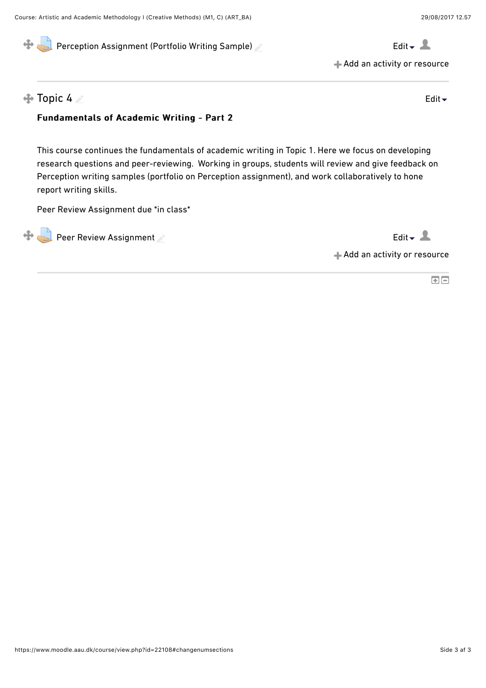

[Add an activity or resource](https://www.moodle.aau.dk/course/view.php?id=22108#)

### $\oplus$  Topic 4

[Edit](https://www.moodle.aau.dk/course/view.php?id=22108#)

### Fundamentals of Academic Writing - Part 2

This course continues the fundamentals of academic writing in Topic 1. Here we focus on developing research questions and peer-reviewing. Working in groups, students will review and give feedback on Perception writing samples (portfolio on Perception assignment), and work collaboratively to hone report writing skills.

Peer Review Assignment due \*in class\*

 $\bigoplus$  [Peer Review Assignment](https://www.moodle.aau.dk/mod/assign/view.php?id=649416)  $\triangle$ 

[Add an activity or resource](https://www.moodle.aau.dk/course/view.php?id=22108#)

国国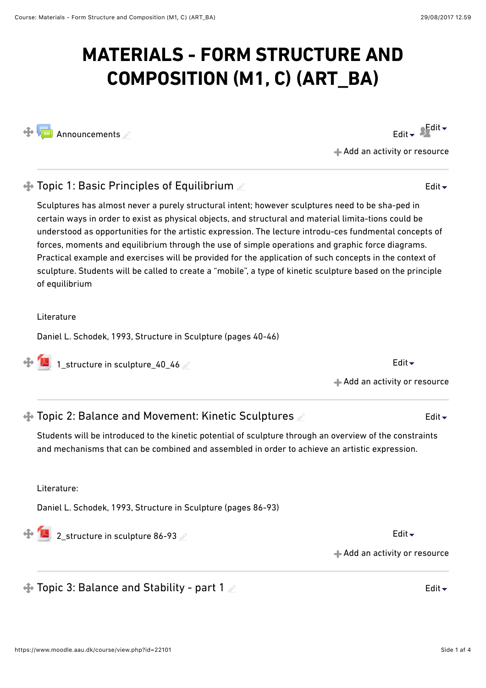# **MATERIALS - FORM STRUCTURE AND COMPOSITION (M1, C) (ART\_BA)**

 $\bigoplus$  [Announcements](https://www.moodle.aau.dk/mod/forum/view.php?id=624027)

[Add an activity or resource](https://www.moodle.aau.dk/course/view.php?id=22101#)

## $\bigoplus$  Topic 1: Basic Principles of Equilibrium

Sculptures has almost never a purely structural intent; however sculptures need to be sha-ped in certain ways in order to exist as physical objects, and structural and material limita-tions could be understood as opportunities for the artistic expression. The lecture introdu-ces fundmental concepts of forces, moments and equilibrium through the use of simple operations and graphic force diagrams. Practical example and exercises will be provided for the application of such concepts in the context of sculpture. Students will be called to create a "mobile", a type of kinetic sculpture based on the principle of equilibrium

Literature

Daniel L. Schodek, 1993, Structure in Sculpture (pages 40-46)

 $\bigoplus$  1 structure in sculpture 40 46  $\bigotimes$  extraction of the [Edit](https://www.moodle.aau.dk/course/view.php?id=22101#)  $\bigstar$ 

# $\triangle$  Topic 2: Balance and Movement: Kinetic Sculptures

Students will be introduced to the kinetic potential of sculpture through an overview of the constraints and mechanisms that can be combined and assembled in order to achieve an artistic expression.

Literature:

Daniel L. Schodek, 1993, Structure in Sculpture (pages 86-93)

 $\bigoplus$  [2\\_structure in sculpture 86-93](https://www.moodle.aau.dk/mod/resource/view.php?id=647971)

[Add an activity or resource](https://www.moodle.aau.dk/course/view.php?id=22101#)

[Add an activity or resource](https://www.moodle.aau.dk/course/view.php?id=22101#)

 $\bigoplus$  Topic 3: Balance and Stability - part 1 April 2008 and Edit  $\bigtriangledown$ 



[Edit](https://www.moodle.aau.dk/course/view.php?id=22101#)

[Edit](https://www.moodle.aau.dk/course/view.php?id=22101#)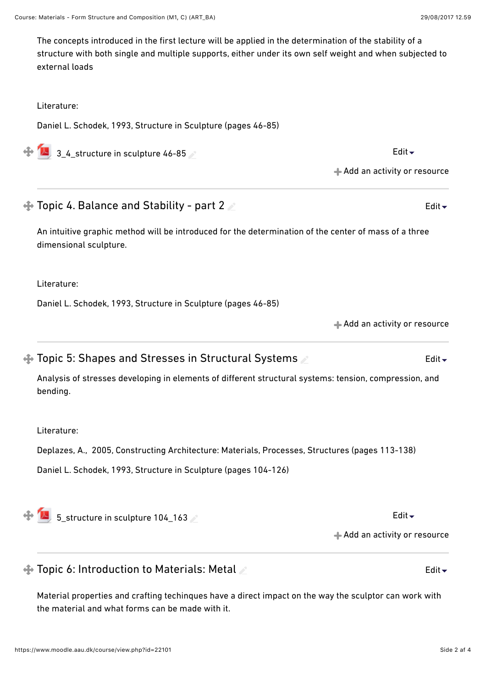dimensional sculpture.

Literature:

Daniel L. Schodek, 1993, Structure in Sculpture (pages 46-85)

Daniel L. Schodek, 1993, Structure in Sculpture (pages 46-85)

 $\bigoplus$  3 4 structure in sculpture 46-85  $\bullet$ 

 $\triangle$  Topic 4. Balance and Stability - part 2

https://www.moodle.aau.dk/course/view.php?id=22101 Side 2 af 4

 $\bigoplus$  Topic 5: Shapes and Stresses in Structural Systems

Analysis of stresses developing in elements of diferent structural systems: tension, compression, and bending.

An intuitive graphic method will be introduced for the determination of the center of mass of a three

The concepts introduced in the first lecture will be applied in the determination of the stability of a

structure with both single and multiple supports, either under its own self weight and when subjected to

Literature:

Literature:

Deplazes, A., 2005, Constructing Architecture: Materials, Processes, Structures (pages 113-138)

Daniel L. Schodek, 1993, Structure in Sculpture (pages 104-126)

 $\bigoplus$  [5\\_structure in sculpture 104\\_163](https://www.moodle.aau.dk/mod/resource/view.php?id=647975) A [Edit](https://www.moodle.aau.dk/course/view.php?id=22101#)  $\bigoplus$  Edit  $\bigoplus$ 

[Add an activity or resource](https://www.moodle.aau.dk/course/view.php?id=22101#)

# $\triangle$  Topic 6: Introduction to Materials: Metal

Material properties and crafting techinques have a direct impact on the way the sculptor can work with the material and what forms can be made with it.

[Edit](https://www.moodle.aau.dk/course/view.php?id=22101#)

[Edit](https://www.moodle.aau.dk/course/view.php?id=22101#)

[Edit](https://www.moodle.aau.dk/course/view.php?id=22101#)

[Add an activity or resource](https://www.moodle.aau.dk/course/view.php?id=22101#)

**← [Add an activity or resource](https://www.moodle.aau.dk/course/view.php?id=22101#)**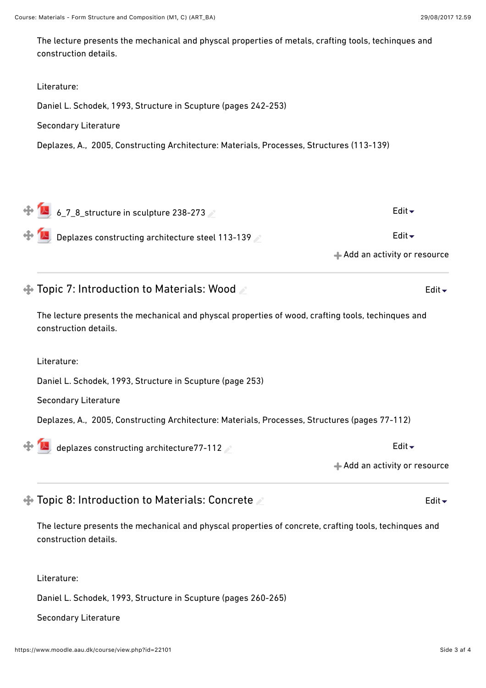The lecture presents the mechanical and physcal properties of metals, crafting tools, techinques and construction details.

# Literature: Daniel L. Schodek, 1993, Structure in Scupture (pages 242-253) Secondary Literature Deplazes, A., 2005, Constructing Architecture: Materials, Processes, Structures (113-139) [Add an activity or resource](https://www.moodle.aau.dk/course/view.php?id=22101#)  $\bigoplus_{6.7.8}\bigoplus_{8.7.8.5}\bigoplus_{10.6}\bigoplus_{10.6}\bigoplus_{10.6}\bigoplus_{10.6}\bigoplus_{10.6}\bigoplus_{10.6}\bigoplus_{10.6}\bigoplus_{10.6}\bigoplus_{10.6}\bigoplus_{10.6}\bigoplus_{10.6}\bigoplus_{10.6}\bigoplus_{10.6}\bigoplus_{10.6}\bigoplus_{10.6}\bigoplus_{10.6}\bigoplus_{10.6}\bigoplus_{10.6}\bigoplus_{10.6}\bigoplus_{10.6}\bigoplus_{10.6}\bigoplus_{10.6$  $\bigoplus$  [Deplazes constructing architecture steel 113-139](https://www.moodle.aau.dk/mod/resource/view.php?id=648005)  $\triangle$  $\bigoplus$  Topic 7: Introduction to Materials: Wood The lecture presents the mechanical and physcal properties of wood, crafting tools, techinques and construction details. Literature: Daniel L. Schodek, 1993, Structure in Scupture (page 253) Secondary Literature Deplazes, A., 2005, Constructing Architecture: Materials, Processes, Structures (pages 77-112) [Edit](https://www.moodle.aau.dk/course/view.php?id=22101#)

[deplazes constructing architecture77-112](https://www.moodle.aau.dk/mod/resource/view.php?id=647978)  $\leq$  example  $\blacksquare$  [Edit](https://www.moodle.aau.dk/course/view.php?id=22101#)  $\blacktriangleright$  Edit  $\blacktriangleright$ 

[Add an activity or resource](https://www.moodle.aau.dk/course/view.php?id=22101#)

### $\bigoplus$  Topic 8: Introduction to Materials: Concrete

The lecture presents the mechanical and physcal properties of concrete, crafting tools, techinques and construction details.

Literature:

Daniel L. Schodek, 1993, Structure in Scupture (pages 260-265)

#### Secondary Literature

[Edit](https://www.moodle.aau.dk/course/view.php?id=22101#)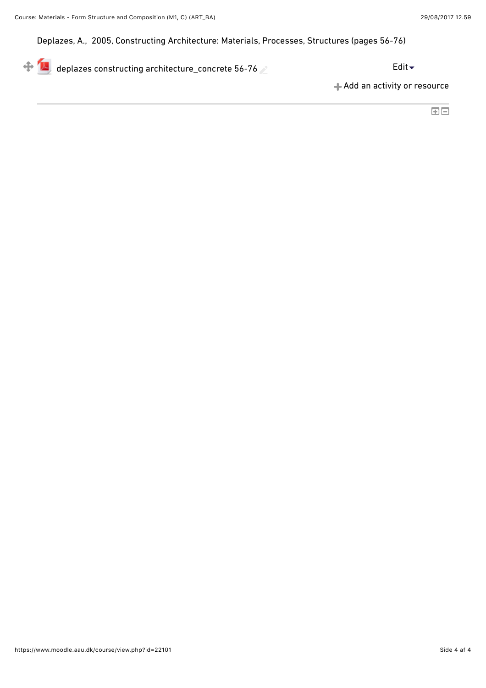Deplazes, A., 2005, Constructing Architecture: Materials, Processes, Structures (pages 56-76)

 $\bigoplus$  [deplazes constructing architecture\\_concrete 56-76](https://www.moodle.aau.dk/mod/resource/view.php?id=647997)  $\triangle$ 

[Add an activity or resource](https://www.moodle.aau.dk/course/view.php?id=22101#)

国国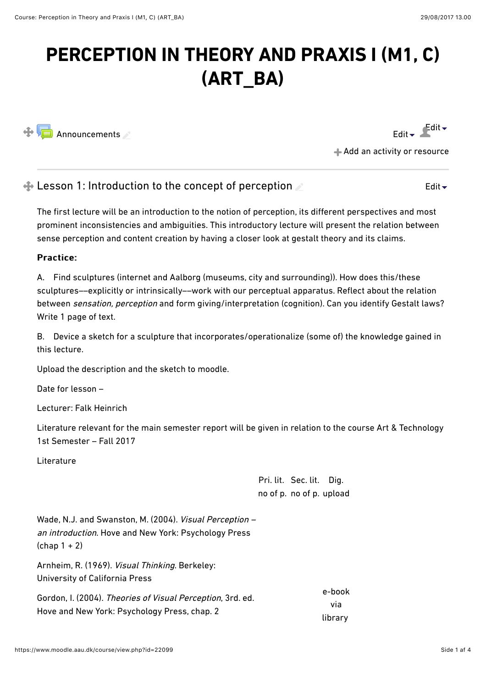# **PERCEPTION IN THEORY AND PRAXIS I (M1, C) (ART\_BA)**



[Edit](https://www.moodle.aau.dk/course/view.php?id=22099#)  $\bullet$  Edit  $\bullet$ 

[Edit](https://www.moodle.aau.dk/course/view.php?id=22099#)

[Add an activity or resource](https://www.moodle.aau.dk/course/view.php?id=22099#)

# $\triangle$  Lesson 1: Introduction to the concept of perception

The first lecture will be an introduction to the notion of perception, its diferent perspectives and most prominent inconsistencies and ambiguities. This introductory lecture will present the relation between sense perception and content creation by having a closer look at gestalt theory and its claims.

### Practice: Practice:

A. Find sculptures (internet and Aalborg (museums, city and surrounding)). How does this/these sculptures––explicitly or intrinsically––work with our perceptual apparatus. Reflect about the relation between sensation, perception and form giving/interpretation (cognition). Can you identify Gestalt laws? Write 1 page of text.

B. Device a sketch for a sculpture that incorporates/operationalize (some of) the knowledge gained in this lecture.

Upload the description and the sketch to moodle.

Date for lesson –

Lecturer: Falk Heinrich

Literature relevant for the main semester report will be given in relation to the course Art & Technology 1st Semester – Fall 2017

Literature

Pri. lit. Sec. lit. Dig. no of p. no of p. upload

Wade, N.J. and Swanston, M. (2004). Visual Perception – an introduction. Hove and New York: Psychology Press  $(char 1 + 2)$ 

Arnheim, R. (1969). Visual Thinking. Berkeley: University of California Press

| Gordon, I. (2004). Theories of Visual Perception, 3rd. ed. | e-book  |
|------------------------------------------------------------|---------|
|                                                            | via     |
| Hove and New York: Psychology Press, chap. 2               | library |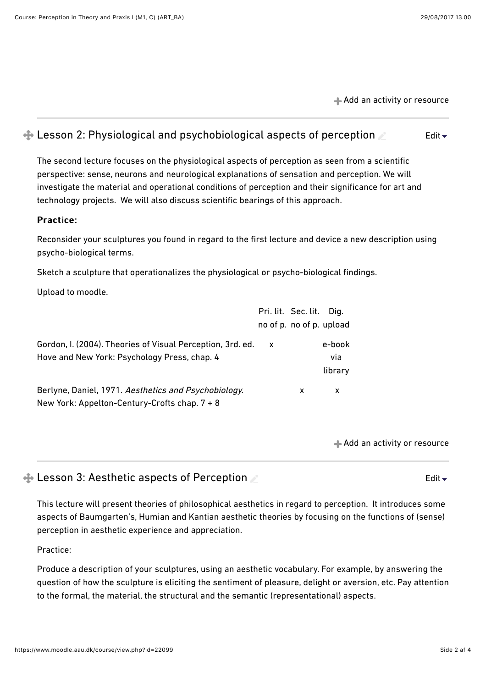[Add an activity or resource](https://www.moodle.aau.dk/course/view.php?id=22099#)

#### $\triangleq$  Lesson 2: Physiological and psychobiological aspects of perception [Edit](https://www.moodle.aau.dk/course/view.php?id=22099#) $\overline{\phantom{a}}$

The second lecture focuses on the physiological aspects of perception as seen from a scientific perspective: sense, neurons and neurological explanations of sensation and perception. We will investigate the material and operational conditions of perception and their significance for art and technology projects. We will also discuss scientific bearings of this approach.

### Practice:

Reconsider your sculptures you found in regard to the first lecture and device a new description using psycho-biological terms.

Sketch a sculpture that operationalizes the physiological or psycho-biological findings.

Upload to moodle.

|                                                                                                            |              | Pri. lit. Sec. lit.      | Dia.                     |
|------------------------------------------------------------------------------------------------------------|--------------|--------------------------|--------------------------|
|                                                                                                            |              | no of p. no of p. upload |                          |
| Gordon, I. (2004). Theories of Visual Perception, 3rd. ed.<br>Hove and New York: Psychology Press, chap. 4 | $\mathbf{x}$ |                          | e-book<br>via<br>library |
| Berlyne, Daniel, 1971. Aesthetics and Psychobiology.<br>New York: Appelton-Century-Crofts chap. $7 + 8$    |              | x                        | x                        |

[Add an activity or resource](https://www.moodle.aau.dk/course/view.php?id=22099#)

[Edit](https://www.moodle.aau.dk/course/view.php?id=22099#)  $\overline{\phantom{a}}$ 

```
\triangle Lesson 3: Aesthetic aspects of Perception
```
This lecture will present theories of philosophical aesthetics in regard to perception. It introduces some aspects of Baumgarten's, Humian and Kantian aesthetic theories by focusing on the functions of (sense) perception in aesthetic experience and appreciation.

Practice:

Produce a description of your sculptures, using an aesthetic vocabulary. For example, by answering the question of how the sculpture is eliciting the sentiment of pleasure, delight or aversion, etc. Pay attention to the formal, the material, the structural and the semantic (representational) aspects.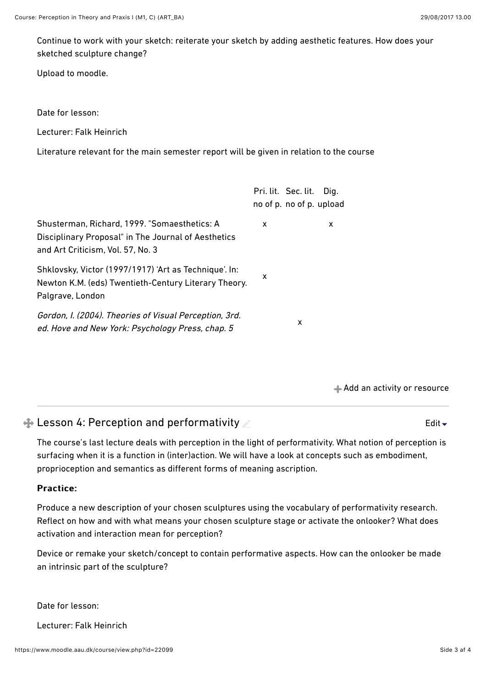Continue to work with your sketch: reiterate your sketch by adding aesthetic features. How does your sketched sculpture change?

Upload to moodle.

Date for lesson:

Lecturer: Falk Heinrich

Literature relevant for the main semester report will be given in relation to the course

|                                                                                                                                          |   | Pri. lit. Sec. lit. Dig.<br>no of p. no of p. upload |  |
|------------------------------------------------------------------------------------------------------------------------------------------|---|------------------------------------------------------|--|
| Shusterman, Richard, 1999. "Somaesthetics: A<br>Disciplinary Proposal" in The Journal of Aesthetics<br>and Art Criticism, Vol. 57, No. 3 | x | x                                                    |  |
| Shklovsky, Victor (1997/1917) 'Art as Technique'. In:<br>Newton K.M. (eds) Twentieth-Century Literary Theory.<br>Palgrave, London        | x |                                                      |  |
| Gordon, I. (2004). Theories of Visual Perception, 3rd.<br>ed. Hove and New York: Psychology Press, chap. 5                               |   | X                                                    |  |

[Add an activity or resource](https://www.moodle.aau.dk/course/view.php?id=22099#)

[Edit](https://www.moodle.aau.dk/course/view.php?id=22099#)  $\overline{\phantom{a}}$ 

# $+$  **Lesson 4: Perception and performativity**

The course's last lecture deals with perception in the light of performativity. What notion of perception is surfacing when it is a function in (inter)action. We will have a look at concepts such as embodiment, proprioception and semantics as diferent forms of meaning ascription.

### Practice:

Produce a new description of your chosen sculptures using the vocabulary of performativity research. Reflect on how and with what means your chosen sculpture stage or activate the onlooker? What does activation and interaction mean for perception?

Device or remake your sketch/concept to contain performative aspects. How can the onlooker be made an intrinsic part of the sculpture?

Date for lesson:

Lecturer: Falk Heinrich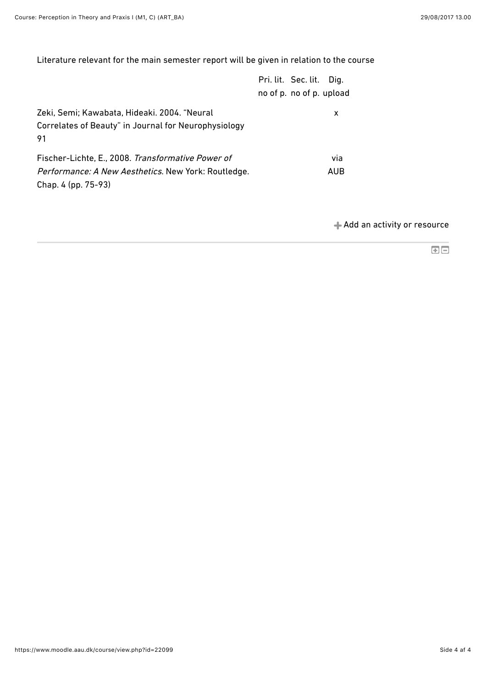Literature relevant for the main semester report will be given in relation to the course

|                                                                                                                                        | Pri. lit. Sec. lit. Dig.<br>no of p. no of p. upload |            |
|----------------------------------------------------------------------------------------------------------------------------------------|------------------------------------------------------|------------|
| Zeki, Semi; Kawabata, Hideaki. 2004. "Neural<br>Correlates of Beauty" in Journal for Neurophysiology<br>91                             |                                                      | x          |
| Fischer-Lichte, E., 2008. Transformative Power of<br><i>Performance: A New Aesthetics. New York: Routledge.</i><br>Chap. 4 (pp. 75-93) |                                                      | via<br>AUB |

[Add an activity or resource](https://www.moodle.aau.dk/course/view.php?id=22099#)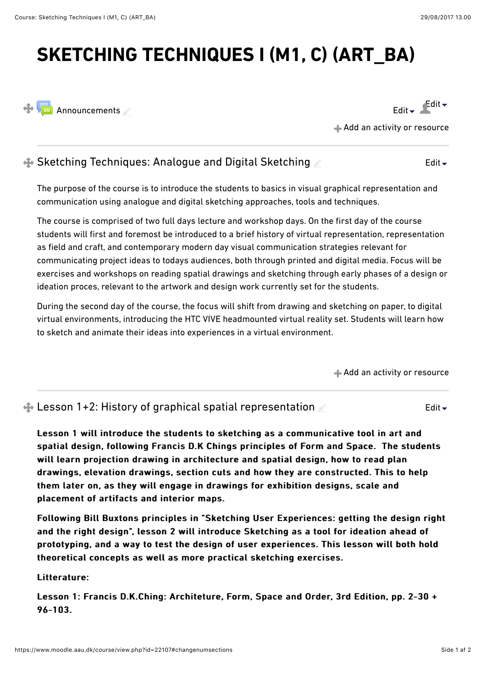# **SKETCHING TECHNIQUES I (M1, C) (ART\_BA)**



[Edit](https://www.moodle.aau.dk/course/view.php?id=22107#)  $\bullet$   $\blacksquare$ Edit  $\bullet$ 

[Add an activity or resource](https://www.moodle.aau.dk/course/view.php?id=22107#)

#### $\triangleq$  **Sketching Techniques: Analogue and Digital Sketching** [Edit](https://www.moodle.aau.dk/course/view.php?id=22107#)

The purpose of the course is to introduce the students to basics in visual graphical representation and communication using analogue and digital sketching approaches, tools and techniques.

The course is comprised of two full days lecture and workshop days. On the first day of the course students will first and foremost be introduced to a brief history of virtual representation, representation as field and craft, and contemporary modern day visual communication strategies relevant for communicating project ideas to todays audiences, both through printed and digital media. Focus will be exercises and workshops on reading spatial drawings and sketching through early phases of a design or ideation proces, relevant to the artwork and design work currently set for the students.

During the second day of the course, the focus will shift from drawing and sketching on paper, to digital virtual environments, introducing the HTC VIVE headmounted virtual reality set. Students will learn how to sketch and animate their ideas into experiences in a virtual environment.

[Add an activity or resource](https://www.moodle.aau.dk/course/view.php?id=22107#)

 $\triangle$  Lesson 1+2: History of graphical spatial representation [Edit](https://www.moodle.aau.dk/course/view.php?id=22107#) $\div$ 

Lesson 1 will introduce the students to sketching as a communicative tool in art and spatial design, following Francis D.K Chings principles of Form and Space. The students will learn projection drawing in architecture and spatial design, how to read plan drawings, elevation drawings, section cuts and how they are constructed. This to help them later on, as they will engage in drawings for exhibition designs, scale and placement of artifacts and interior maps.

Following Bill Buxtons principles in "Sketching User Experiences: getting the design right and the right design", lesson 2 will introduce Sketching as a tool for ideation ahead of prototyping, and a way to test the design of user experiences. This lesson will both hold theoretical concepts as well as more practical sketching exercises.

Litterature:

Lesson 1: Francis D.K.Ching: Architeture, Form, Space and Order, 3rd Edition, pp. 2-30 + 96-103. 96-103.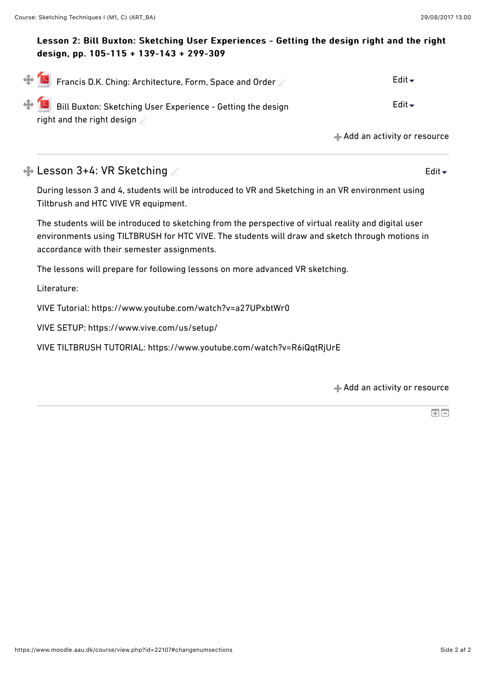### Lesson 2: Bill Buxton: Sketching User Experiences - Getting the design right and the right design, pp. 105-115 + 139-143 + 299-309 design, pp. 105-115 + 139-143 + 299-309

| $\bigoplus_{i=1}^n E_i$ Francis D.K. Ching: Architecture, Form, Space and Order                       | Edit $\blacktriangleright$  |
|-------------------------------------------------------------------------------------------------------|-----------------------------|
| $\bigoplus$ Bill Buxton: Sketching User Experience - Getting the design<br>right and the right design | Edit $\blacktriangleright$  |
|                                                                                                       | Add an activity or resource |

### $\triangle$  **Lesson 3+4: VR Sketching**

During lesson 3 and 4, students will be introduced to VR and Sketching in an VR environment using Tiltbrush and HTC VIVE VR equipment.

The students will be introduced to sketching from the perspective of virtual reality and digital user environments using TILTBRUSH for HTC VIVE. The students will draw and sketch through motions in accordance with their semester assignments.

The lessons will prepare for following lessons on more advanced VR sketching.

Literature:

VIVE Tutorial: https://www.youtube.com/watch?v=a27UPxbtWr0

VIVE SETUP: https://www.vive.com/us/setup/

VIVE TILTBRUSH TUTORIAL: https://www.youtube.com/watch?v=R6iQqtRjUrE

[Add an activity or resource](https://www.moodle.aau.dk/course/view.php?id=22107#)

国国

[Edit](https://www.moodle.aau.dk/course/view.php?id=22107#)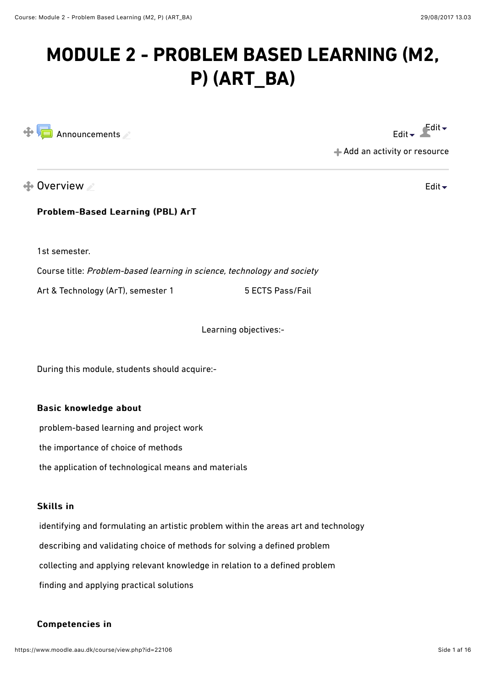# **MODULE 2 - PROBLEM BASED LEARNING (M2, P) (ART\_BA)**



[Edit](https://www.moodle.aau.dk/course/view.php?id=22106#)  $\bullet$  Edit  $\bullet$ 

[Edit](https://www.moodle.aau.dk/course/view.php?id=22106#)

[Add an activity or resource](https://www.moodle.aau.dk/course/view.php?id=22106#)

# $\triangle$  Overview

Problem-Based Learning (PBL) ArT

1st semester.

Course title: Problem-based learning in science, technology and society Art & Technology (ArT), semester 1 5 ECTS Pass/Fail

Learning objectives:-

During this module, students should acquire:-

### Basic knowledge about

problem-based learning and project work

the importance of choice of methods

the application of technological means and materials

### **Skills in**

 identifying and formulating an artistic problem within the areas art and technology describing and validating choice of methods for solving a defined problem collecting and applying relevant knowledge in relation to a defined problem finding and applying practical solutions

### Competencies in Competencies in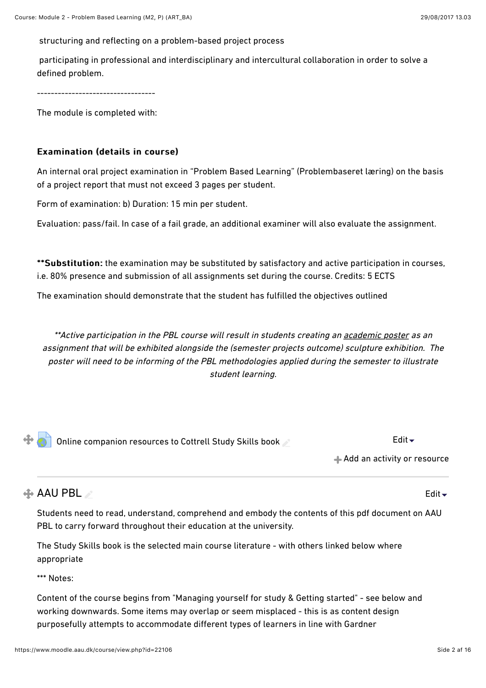structuring and reflecting on a problem-based project process

 participating in professional and interdisciplinary and intercultural collaboration in order to solve a defined problem.

----------------------------------

The module is completed with:

### Examination (details in course) Examination (details in course)

An internal oral project examination in "Problem Based Learning" (Problembaseret læring) on the basis of a project report that must not exceed 3 pages per student.

Form of examination: b) Duration: 15 min per student.

Evaluation: pass/fail. In case of a fail grade, an additional examiner will also evaluate the assignment.

\*\* Substitution: the examination may be substituted by satisfactory and active participation in courses, i.e. 80% presence and submission of all assignments set during the course. Credits: 5 ECTS

The examination should demonstrate that the student has fulfilled the objectives outlined

\*\*Active participation in the PBL course will result in students creating an academic poster as an assignment that will be exhibited alongside the (semester projects outcome) sculpture exhibition. The poster will need to be informing of the PBL methodologies applied during the semester to illustrate student learning.

[Online companion resources to Cottrell Study Skills book](https://www.moodle.aau.dk/mod/url/view.php?id=661879)  $\mathscr{L}$  examples and  $\mathsf{Edit} \blacktriangleright$  $\mathsf{Edit} \blacktriangleright$  $\mathsf{Edit} \blacktriangleright$ 

[Add an activity or resource](https://www.moodle.aau.dk/course/view.php?id=22106#)

### $\triangle$  AAU PBL

Students need to read, understand, comprehend and embody the contents of this pdf document on AAU PBL to carry forward throughout their education at the university.

The Study Skills book is the selected main course literature - with others linked below where appropriate

\*\*\* Notes:

Content of the course begins from "Managing yourself for study & Getting started" - see below and working downwards. Some items may overlap or seem misplaced - this is as content design purposefully attempts to accommodate diferent types of learners in line with Gardner

[Edit](https://www.moodle.aau.dk/course/view.php?id=22106#)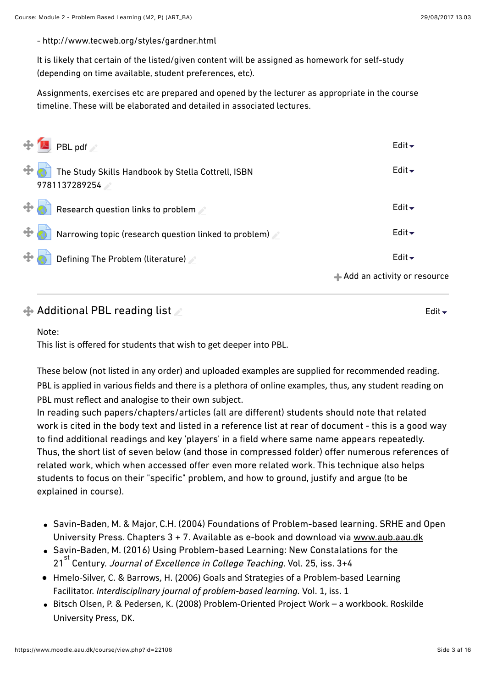[Edit](https://www.moodle.aau.dk/course/view.php?id=22106#)

- http://www.tecweb.org/styles/gardner.html

It is likely that certain of the listed/given content will be assigned as homework for self-study (depending on time available, student preferences, etc).

Assignments, exercises etc are prepared and opened by the lecturer as appropriate in the course timeline. These will be elaborated and detailed in associated lectures.

| $\oplus$ M PBL pdf                                                  | Edit $\overline{\phantom{a}}$   |
|---------------------------------------------------------------------|---------------------------------|
| The Study Skills Handbook by Stella Cottrell, ISBN<br>9781137289254 | Edit $\blacktriangleright$      |
| $\bigoplus$ Research question links to problem                      | Edit $\blacktriangleright$      |
| Narrowing topic (research question linked to problem)               | Edit $\overline{\phantom{a}}$   |
| $\bigoplus$ Defining The Problem (literature)                       | Edit $\blacktriangleright$      |
|                                                                     | $+$ Add an activity or resource |

### $\triangle$  Additional PBL reading list

### Note:

This list is offered for students that wish to get deeper into PBL.

These below (not listed in any order) and uploaded examples are supplied for recommended reading. PBL is applied in various fields and there is a plethora of online examples, thus, any student reading on PBL must reflect and analogise to their own subject.

In reading such papers/chapters/articles (all are diferent) students should note that related work is cited in the body text and listed in a reference list at rear of document - this is a good way to find additional readings and key 'players' in a field where same name appears repeatedly. Thus, the short list of seven below (and those in compressed folder) offer numerous references of related work, which when accessed offer even more related work. This technique also helps students to focus on their "specific" problem, and how to ground, justify and argue (to be explained in course).

- Savin-Baden, M. & Major, C.H. (2004) Foundations of Problem-based learning. SRHE and Open University Press. Chapters 3 + 7. Available as e-book and download via [www.aub.aau.dk](http://www.aub.aau.dk/)
- Savin-Baden, M. (2016) Using Problem-based Learning: New Constalations for the 21<sup>st</sup> Century. Journal of Excellence in College Teaching. Vol. 25, iss. 3+4
- Hmelo-Silver, C. & Barrows, H. (2006) Goals and Strategies of a Problem-based Learning Facilitator. *Interdisciplinary journal of problem-based learning.* Vol. 1, iss. 1
- Bitsch Olsen, P. & Pedersen, K. (2008) Problem-Oriented Project Work a workbook. Roskilde University Press, DK.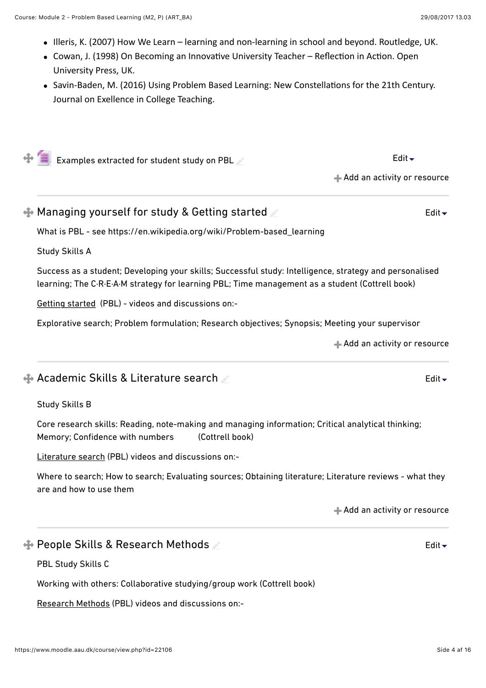- $\bullet$  Illeris, K. (2007) How We Learn learning and non-learning in school and beyond. Routledge, UK.
- Cowan, J. (1998) On Becoming an Innovative University Teacher Reflection in Action. Open University Press, UK.
- Savin-Baden, M. (2016) Using Problem Based Learning: New Constellations for the 21th Century. Journal on Exellence in College Teaching.

 $\bigoplus$  [Examples extracted for student study on PBL](https://www.moodle.aau.dk/mod/resource/view.php?id=657822)  $\triangle$ 

 $\triangle$  [Add an activity or resource](https://www.moodle.aau.dk/course/view.php?id=22106#)

 $\triangle$  Managing yourself for study & Getting started [Edit](https://www.moodle.aau.dk/course/view.php?id=22106#) $\div$ 

What is PBL - see https://en.wikipedia.org/wiki/Problem-based\_learning

Study Skills A

Success as a student; Developing your skills; Successful study: Intelligence, strategy and personalised learning; The C·R·E·A·M strategy for learning PBL; Time management as a student (Cottrell book)

Getting started (PBL) - videos and discussions on:-

Explorative search; Problem formulation; Research objectives; Synopsis; Meeting your supervisor

[Add an activity or resource](https://www.moodle.aau.dk/course/view.php?id=22106#)

[Edit](https://www.moodle.aau.dk/course/view.php?id=22106#)

[Edit](https://www.moodle.aau.dk/course/view.php?id=22106#)  $\overline{\phantom{a}}$ 

# $\triangle$  **Academic Skills & Literature search**

Study Skills B

Core research skills: Reading, note-making and managing information; Critical analytical thinking; Memory; Confidence with numbers (Cottrell book)

Literature search (PBL) videos and discussions on:-

Where to search; How to search; Evaluating sources; Obtaining literature; Literature reviews - what they are and how to use them

[Add an activity or resource](https://www.moodle.aau.dk/course/view.php?id=22106#)

# **← People Skills & Research Methods**

PBL Study Skills C

Working with others: Collaborative studying/group work (Cottrell book)

Research Methods (PBL) videos and discussions on:-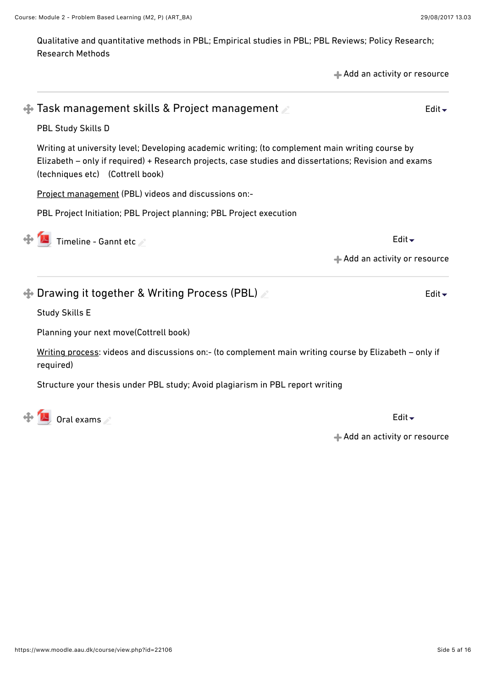Qualitative and quantitative methods in PBL; Empirical studies in PBL; PBL Reviews; Policy Research; Research Methods

|           |                                                                                                                                                                                                                                              | + Add an activity or resource |
|-----------|----------------------------------------------------------------------------------------------------------------------------------------------------------------------------------------------------------------------------------------------|-------------------------------|
|           | $\clubsuit$ Task management skills & Project management $\nearrow$                                                                                                                                                                           | Edit $\blacktriangleright$    |
|           | PBL Study Skills D                                                                                                                                                                                                                           |                               |
|           | Writing at university level; Developing academic writing; (to complement main writing course by<br>Elizabeth – only if required) + Research projects, case studies and dissertations; Revision and exams<br>(techniques etc) (Cottrell book) |                               |
|           | Project management (PBL) videos and discussions on:-                                                                                                                                                                                         |                               |
|           | PBL Project Initiation; PBL Project planning; PBL Project execution                                                                                                                                                                          |                               |
|           | Timeline - Gannt etc                                                                                                                                                                                                                         | Edit $\blacktriangleright$    |
|           |                                                                                                                                                                                                                                              | Add an activity or resource   |
|           | $\clubsuit$ Drawing it together & Writing Process (PBL) $\geq$                                                                                                                                                                               | Edit $\blacktriangleright$    |
|           | <b>Study Skills E</b>                                                                                                                                                                                                                        |                               |
|           | Planning your next move(Cottrell book)                                                                                                                                                                                                       |                               |
| required) | Writing process: videos and discussions on:- (to complement main writing course by Elizabeth - only if                                                                                                                                       |                               |
|           | Structure your thesis under PBL study; Avoid plagiarism in PBL report writing                                                                                                                                                                |                               |
|           | $\bigoplus$ / $\bigcup$ Oral exams                                                                                                                                                                                                           | Edit $\overline{\phantom{a}}$ |

[Add an activity or resource](https://www.moodle.aau.dk/course/view.php?id=22106#)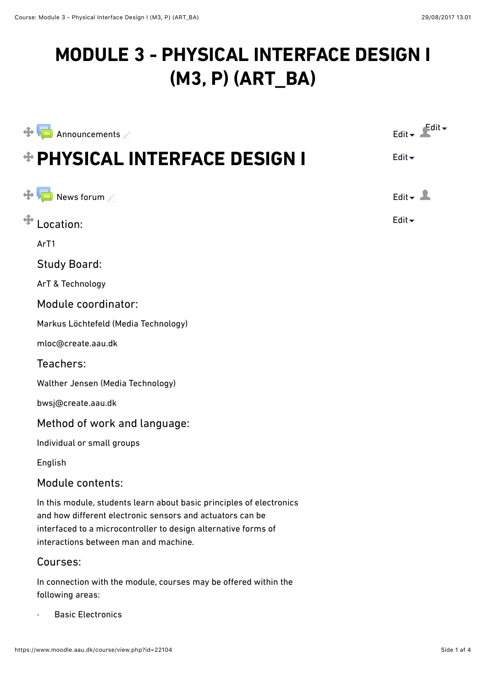# **MODULE 3 - PHYSICAL INTERFACE DESIGN I (M3, P) (ART\_BA)**

| Announcements                                                                                                                                                                                                                                | $\epsilon$ dit $\sim$<br>Edit $\div$ |
|----------------------------------------------------------------------------------------------------------------------------------------------------------------------------------------------------------------------------------------------|--------------------------------------|
| <b>OPHYSICAL INTERFACE DESIGN I</b>                                                                                                                                                                                                          | Edit $\blacktriangleright$           |
| News forum                                                                                                                                                                                                                                   | Edit $\overline{\phantom{a}}$        |
| Location:                                                                                                                                                                                                                                    | Edit $\blacktriangleright$           |
| ArT1                                                                                                                                                                                                                                         |                                      |
| <b>Study Board:</b>                                                                                                                                                                                                                          |                                      |
| ArT & Technology                                                                                                                                                                                                                             |                                      |
| Module coordinator:                                                                                                                                                                                                                          |                                      |
| Markus Löchtefeld (Media Technology)                                                                                                                                                                                                         |                                      |
| mloc@create.aau.dk                                                                                                                                                                                                                           |                                      |
| Teachers:                                                                                                                                                                                                                                    |                                      |
| Walther Jensen (Media Technology)                                                                                                                                                                                                            |                                      |
| bwsj@create.aau.dk                                                                                                                                                                                                                           |                                      |
| Method of work and language:                                                                                                                                                                                                                 |                                      |
| Individual or small groups                                                                                                                                                                                                                   |                                      |
| English                                                                                                                                                                                                                                      |                                      |
| Module contents:                                                                                                                                                                                                                             |                                      |
| In this module, students learn about basic principles of electronics<br>and how different electronic sensors and actuators can be<br>interfaced to a microcontroller to design alternative forms of<br>interactions between man and machine. |                                      |
| Courses:                                                                                                                                                                                                                                     |                                      |
| In connection with the module, courses may be offered within the<br>following areas:                                                                                                                                                         |                                      |
|                                                                                                                                                                                                                                              |                                      |

· [Basic Electronics](https://www.moodle.aau.dk/course/view.php?id=22103)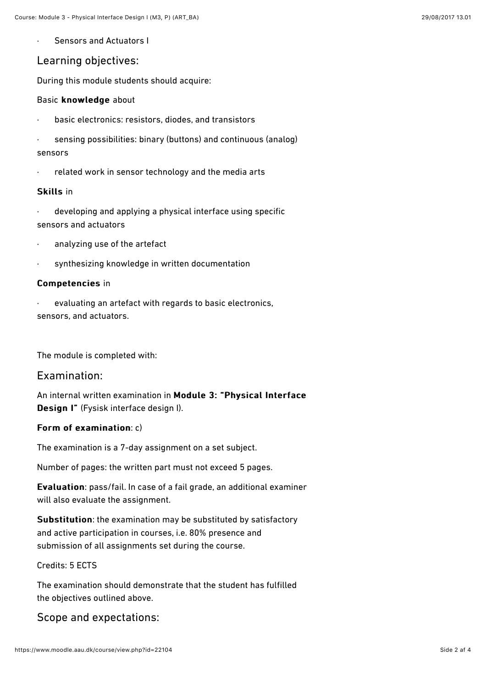[Sensors and Actuators I](https://www.moodle.aau.dk/course/view.php?id=22102)

### Learning objectives:

During this module students should acquire:

### Basic knowledge about

- · basic electronics: resistors, diodes, and transistors
- sensing possibilities: binary (buttons) and continuous (analog) sensors
- related work in sensor technology and the media arts

### Skills in

- developing and applying a physical interface using specific sensors and actuators
- analyzing use of the artefact
- synthesizing knowledge in written documentation

### Competencies in

evaluating an artefact with regards to basic electronics, sensors, and actuators.

The module is completed with:

### Examination:

An internal written examination in Module 3: "Physical Interface Design I" (Fysisk interface design I).

### Form of examination:  $c)$

The examination is a 7-day assignment on a set subject.

Number of pages: the written part must not exceed 5 pages.

Evaluation: pass/fail. In case of a fail grade, an additional examiner will also evaluate the assignment.

Substitution: the examination may be substituted by satisfactory and active participation in courses, i.e. 80% presence and submission of all assignments set during the course.

### Credits: 5 ECTS

The examination should demonstrate that the student has fulfilled the objectives outlined above.

Scope and expectations: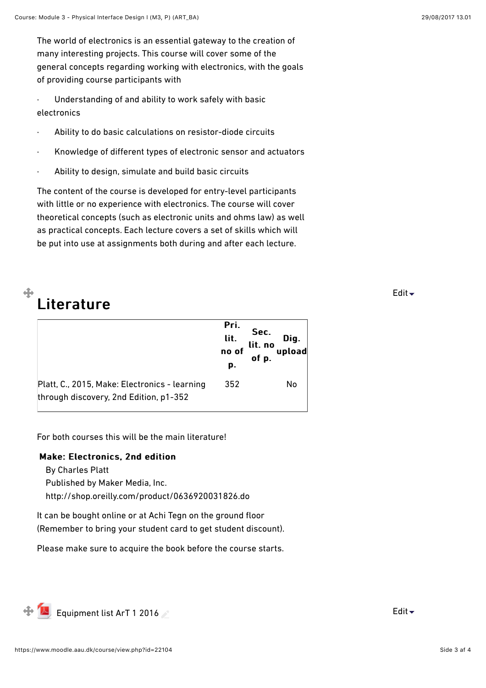The world of electronics is an essential gateway to the creation of many interesting projects. This course will cover some of the general concepts regarding working with electronics, with the goals of providing course participants with

Understanding of and ability to work safely with basic electronics

- Ability to do basic calculations on resistor-diode circuits
- · Knowledge of diferent types of electronic sensor and actuators
- Ability to design, simulate and build basic circuits

The content of the course is developed for entry-level participants with little or no experience with electronics. The course will cover theoretical concepts (such as electronic units and ohms law) as well as practical concepts. Each lecture covers a set of skills which will be put into use at assignments both during and after each lecture.

# Literature

⊕

|                                                                                         | Pri.<br>lit.<br>no of<br>p. | Sec.<br>Dig.<br>lit. no<br>upload<br>of p. |
|-----------------------------------------------------------------------------------------|-----------------------------|--------------------------------------------|
| Platt, C., 2015, Make: Electronics - learning<br>through discovery, 2nd Edition, p1-352 | 352                         | No                                         |

For both courses this will be the main literature!

### Make: Electronics, 2nd edition

By Charles Platt

Published by Maker Media, Inc.

<http://shop.oreilly.com/product/0636920031826.do>

It can be bought online or at Achi Tegn on the ground floor (Remember to bring your student card to get student discount).

Please make sure to acquire the book before the course starts.

 $\bigoplus$  [Equipment list ArT 1 2016](https://www.moodle.aau.dk/mod/resource/view.php?id=642946) And the set of the set of the set of the set of the set of the set of the set of the set of the set of the set of the set of the set of the set of the set of the set of the set of the set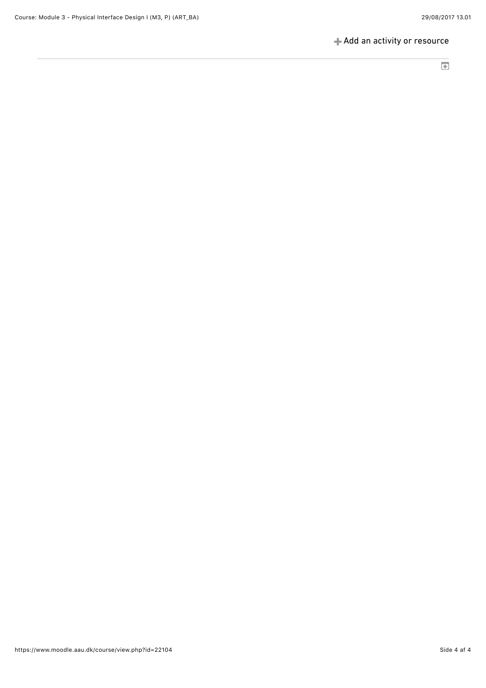### [Add an activity or resource](https://www.moodle.aau.dk/course/view.php?id=22104#)

 $\overline{\mathbf{E}}$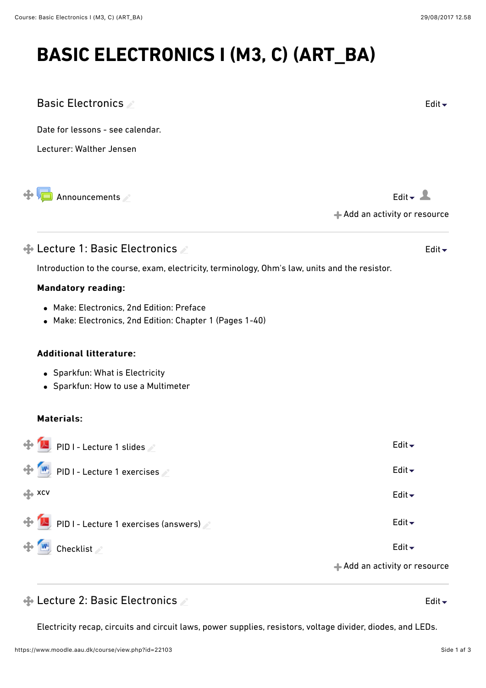Basic Electronics

Date for lessons - see calendar.

Electricity recap, circuits and circuit laws, power supplies, resistors, voltage divider, diodes, and LEDs.

| Lecturer: Walther Jensen                                                                              |                                                     |
|-------------------------------------------------------------------------------------------------------|-----------------------------------------------------|
| Announcements                                                                                         | Edit $\sim$ $\sim$<br>+ Add an activity or resource |
| $\bigoplus$ Lecture 1: Basic Electronics $\ge$                                                        | Edit $\blacktriangleright$                          |
| Introduction to the course, exam, electricity, terminology, Ohm's law, units and the resistor.        |                                                     |
| <b>Mandatory reading:</b>                                                                             |                                                     |
| • Make: Electronics, 2nd Edition: Preface<br>• Make: Electronics, 2nd Edition: Chapter 1 (Pages 1-40) |                                                     |
| <b>Additional litterature:</b>                                                                        |                                                     |
| • Sparkfun: What is Electricity<br>• Sparkfun: How to use a Multimeter                                |                                                     |
| <b>Materials:</b>                                                                                     |                                                     |
| PID I - Lecture 1 slides                                                                              | Edit $\overline{\phantom{a}}$                       |
| $W$ , PID I - Lecture 1 exercises                                                                     | Edit $\blacktriangleright$                          |
| ← XCV                                                                                                 | Edit $\blacktriangleright$                          |
| PID I - Lecture 1 exercises (answers)                                                                 | Edit $\blacktriangleright$                          |
| <b>Checklist</b>                                                                                      | Edit $\overline{\phantom{a}}$                       |
|                                                                                                       | + Add an activity or resource                       |
| ← Lecture 2: Basic Electronics                                                                        | Edit $\blacktriangleright$                          |

# **BASIC ELECTRONICS I (M3, C) (ART\_BA)**

[Edit](https://www.moodle.aau.dk/course/view.php?id=22103#)  $\overline{\phantom{a}}$ 

[Edit](https://www.moodle.aau.dk/course/view.php?id=22103#)  $\overline{\phantom{a}}$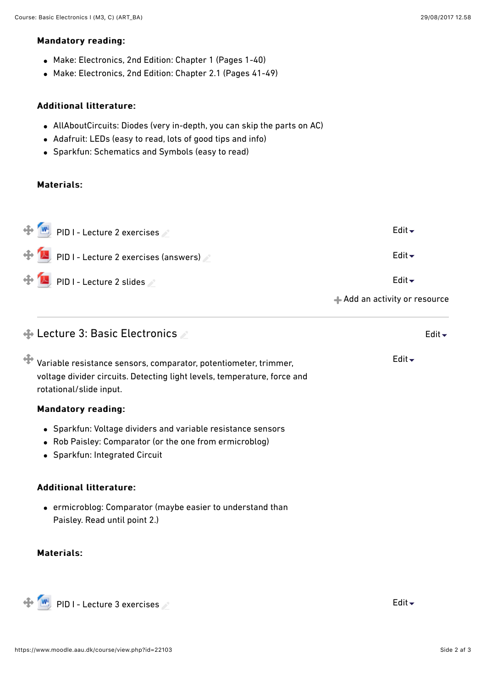### Mandatory reading:

- Make: Electronics, 2nd Edition: Chapter 1 (Pages 1-40)
- Make: Electronics, 2nd Edition: Chapter 2.1 (Pages 41-49)

### Additional litterature: Additional litterature:

- AllAboutCircuits: [Diodes](http://www.allaboutcircuits.com/textbook/semiconductors/chpt-3/introduction-to-diodes-and-rectifiers/) (very in-depth, you can skip the parts on AC)
- Adafruit: [LEDs](https://learn.adafruit.com/all-about-leds/overview) (easy to read, lots of good tips and info)
- Sparkfun: [Schematics and Symbols](https://learn.sparkfun.com/tutorials/how-to-read-a-schematic) (easy to read)

### Materials:

| $\bigoplus$ W PID I - Lecture 2 exercises | Edit $\div$                              |
|-------------------------------------------|------------------------------------------|
| PID I - Lecture 2 exercises (answers)     | Edit $\blacktriangleright$               |
| PID I - Lecture 2 slides                  | Edit $\blacktriangleright$               |
|                                           | $\triangleq$ Add an activity or resource |

# $\bigoplus$  Lecture 3: Basic Electronics Variable resistance sensors, comparator, potentiometer, trimmer, voltage divider circuits. Detecting light levels, temperature, force and rotational/slide input. **Mandatory reading:** Sparkfun: [Voltage dividers and variable resistance sensors](https://learn.sparkfun.com/tutorials/voltage-dividers) Rob Paisley: [Comparator \(](http://home.cogeco.ca/~rpaisley4/ComparatorsA.html)or the one from ermicroblog) Sparkfun: [Integrated Circuit](https://learn.sparkfun.com/tutorials/integrated-circuits/ic-packages) Additional litterature: ermicroblog: [Comparator \(](http://www.ermicro.com/blog/?p=1578)maybe easier to understand than Paisley. Read until point 2.) [Edit](https://www.moodle.aau.dk/course/view.php?id=22103#)

### Materials:

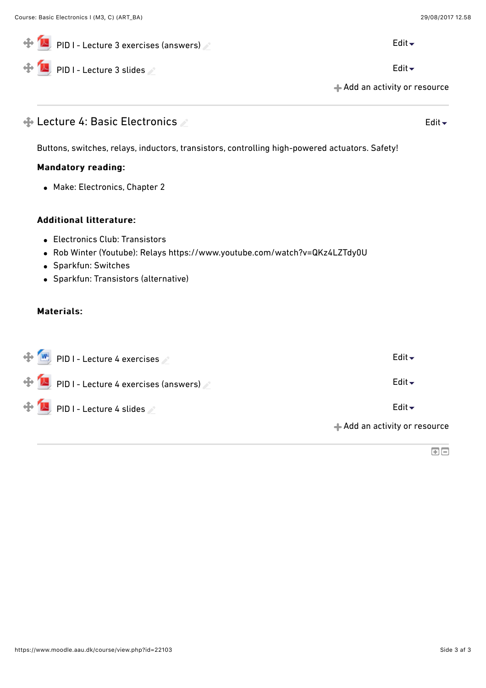| $\blacktriangle$ , PID I - Lecture 3 exercises (answers) $\blacktriangle$                                        | Edit $\blacktriangleright$    |
|------------------------------------------------------------------------------------------------------------------|-------------------------------|
| PID I - Lecture 3 slides                                                                                         | Edit $\blacktriangleright$    |
|                                                                                                                  | + Add an activity or resource |
| $\bigoplus$ Lecture 4: Basic Electronics $\triangle$                                                             | Edit $\blacktriangleright$    |
| Buttons, switches, relays, inductors, transistors, controlling high-powered actuators. Safety!                   |                               |
| <b>Mandatory reading:</b>                                                                                        |                               |
| • Make: Electronics, Chapter 2                                                                                   |                               |
| <b>Additional litterature:</b>                                                                                   |                               |
| <b>Electronics Club: Transistors</b><br>Rob Winter (Youtube): Relays https://www.youtube.com/watch?v=QKz4LZTdy0U |                               |
| • Sparkfun: Switches                                                                                             |                               |
| • Sparkfun: Transistors (alternative)                                                                            |                               |
| <b>Materials:</b>                                                                                                |                               |
| PID I - Lecture 4 exercises                                                                                      | Edit $\div$                   |
| PID I - Lecture 4 exercises (answers)                                                                            | Edit $\blacktriangleright$    |
| PID I - Lecture 4 slides                                                                                         | Edit $\blacktriangleright$    |
|                                                                                                                  | + Add an activity or resource |
|                                                                                                                  | $\boxdot$                     |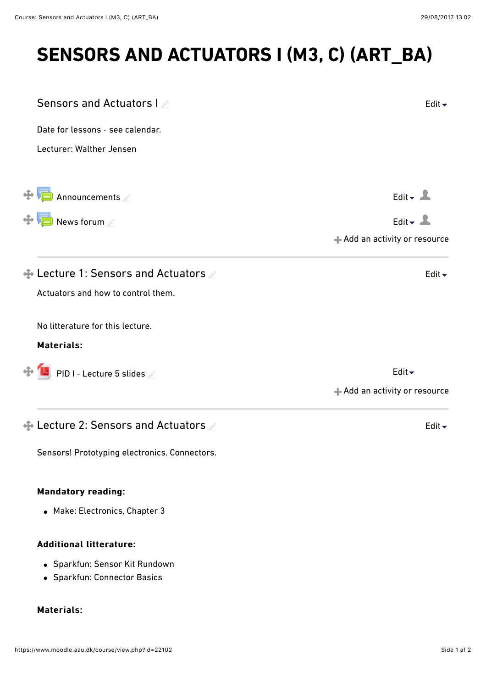# **SENSORS AND ACTUATORS I (M3, C) (ART\_BA)**

| Sensors and Actuators I                      | Edit $\overline{\phantom{a}}$ |
|----------------------------------------------|-------------------------------|
| Date for lessons - see calendar.             |                               |
| Lecturer: Walther Jensen                     |                               |
| Announcements                                | Edit $\sim$ $\sim$            |
| News forum                                   | Edit $\overline{\phantom{a}}$ |
|                                              | Add an activity or resource   |
| $\bigoplus$ Lecture 1: Sensors and Actuators | Edit $\overline{\phantom{a}}$ |
| Actuators and how to control them.           |                               |
| No litterature for this lecture.             |                               |
| <b>Materials:</b>                            |                               |
| $\bigoplus$ M PID I - Lecture 5 slides       | Edit $\div$                   |
|                                              | Add an activity or resource   |
| $\bigoplus$ Lecture 2: Sensors and Actuators | Edit $\overline{\phantom{a}}$ |

Sensors! Prototyping electronics. Connectors.

### **Mandatory reading:**

Make: Electronics, Chapter 3

### Additional litterature:

- Sparkfun: [Sensor Kit Rundown](https://learn.sparkfun.com/tutorials/sensor-kit-resource-hub#resource-rundown)
- Sparkfun: [Connector Basics](https://learn.sparkfun.com/tutorials/connector-basics)

### Materials: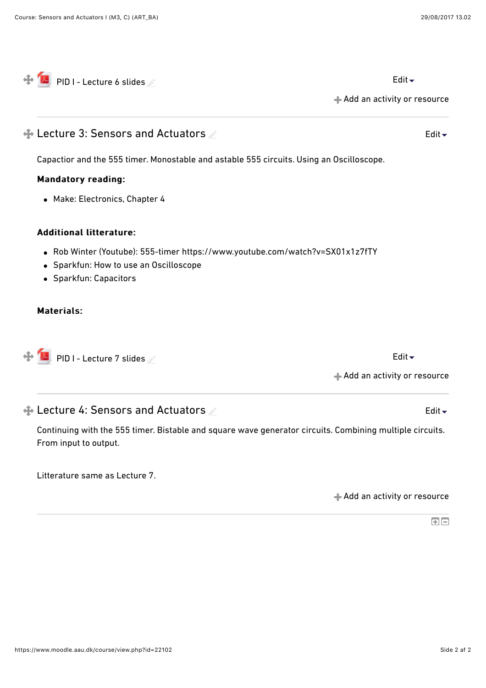[Add an activity or resource](https://www.moodle.aau.dk/course/view.php?id=22102#) [Lecture 3: Sensors and Actuators](https://www.moodle.aau.dk/course/view.php?id=22102#)  Capactior and the 555 timer. Monostable and astable 555 circuits. Using an Oscilloscope. Mandatory reading: Mandatory reading: Make: Electronics, Chapter 4 Additional litterature: Additional litterature: Rob Winter (Youtube): 555-timer https://www.youtube.com/watch?v=SX01x1z7fTY Sparkfun: [How to use an Oscilloscope](https://learn.sparkfun.com/tutorials/how-to-use-an-oscilloscope) Sparkfun: [Capacitors](https://learn.sparkfun.com/tutorials/capacitors) Materials: Materials: [Add an activity or resource](https://www.moodle.aau.dk/course/view.php?id=22102#) [Edit](https://www.moodle.aau.dk/course/view.php?id=22102#) [PID I - Lecture 7 slides](https://www.moodle.aau.dk/mod/resource/view.php?id=643021) [Edit](https://www.moodle.aau.dk/course/view.php?id=22102#) [Lecture 4: Sensors and Actuators](https://www.moodle.aau.dk/course/view.php?id=22102#)  Continuing with the 555 timer. Bistable and square wave generator circuits. Combining multiple circuits. From input to output. [Edit](https://www.moodle.aau.dk/course/view.php?id=22102#)

 $\overrightarrow{A}$  [PID I - Lecture 6 slides](https://www.moodle.aau.dk/mod/resource/view.php?id=643020)  $\angle$ 

Litterature same as Lecture 7.

[Add an activity or resource](https://www.moodle.aau.dk/course/view.php?id=22102#)

 $\overline{\mathbf{E}}$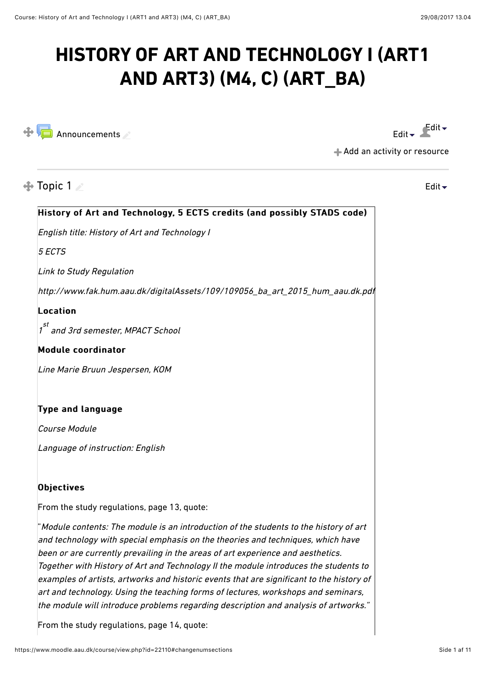# **HISTORY OF ART AND TECHNOLOGY I (ART1 AND ART3) (M4, C) (ART\_BA)**



[Edit](https://www.moodle.aau.dk/course/view.php?id=22110#)  $\bullet$  Edit  $\bullet$ 

[Add an activity or resource](https://www.moodle.aau.dk/course/view.php?id=22110#)

# $\triangle$  Topic 1

[Edit](https://www.moodle.aau.dk/course/view.php?id=22110#)

# History of Art and Technology, 5 ECTS credits (and possibly STADS code) English title: History of Art and Technology I 5 ECTS Link to Study Regulation http://www.fak.hum.aau.dk/digitalAssets/109/109056\_ba\_art\_2015\_hum\_aau.dk.pdf  $$ 1<sup>st</sup> and 3rd semester, MPACT School  $M$ odule coordinator Line Marie Bruun Jespersen, KOM Type and language Course Module Language of instruction: English  $\mathsf{D}$ bjectives From the study regulations, page 13, quote: "Module contents: The module is an introduction of the students to the history of art and technology with special emphasis on the theories and techniques, which have been or are currently prevailing in the areas of art experience and aesthetics. Together with History of Art and Technology II the module introduces the students to examples of artists, artworks and historic events that are significant to the history of art and technology. Using the teaching forms of lectures, workshops and seminars, the module will introduce problems regarding description and analysis of artworks."

From the study regulations, page 14, quote: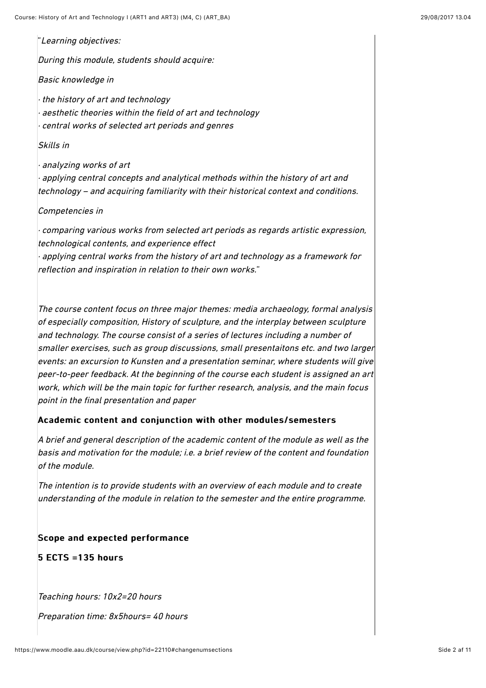"Learning objectives:

 $\vert$ During this module, students should acquire:

Basic knowledge in

· the history of art and technology aesthetic theories within the field of art and technology central works of selected art periods and genres

Skills in

· analyzing works of art applying central concepts and analytical methods within the history of art and technology – and acquiring familiarity with their historical context and conditions.

#### Competencies in

· comparing various works from selected art periods as regards artistic expression, technological contents, and experience effect applying central works from the history of art and technology as a framework for

reflection and inspiration in relation to their own works."

The course content focus on three major themes: media archaeology, formal analysis of especially composition, History of sculpture, and the interplay between sculpture and technology. The course consist of a series of lectures including a number of smaller exercises, such as group discussions, small presentaitons etc. and two larger events: an excursion to Kunsten and a presentation seminar, where students will give  $|_\mathit{peer-to-peer}$  feedback. At the beginning of the course each student is assigned an art $|$ work, which will be the main topic for further research, analysis, and the main focus point in the final presentation and paper

### Academic content and conjunction with other modules/semesters

A brief and general description of the academic content of the module as well as the  $b$ asis and motivation for the module; i.e. a brief review of the content and foundation of the module.

The intention is to provide students with an overview of each module and to create understanding of the module in relation to the semester and the entire programme.

### Scope and expected performance

 $5$  ECTS =135 hours

Teaching hours: 10x2=20 hours

Preparation time: 8x5hours= 40 hours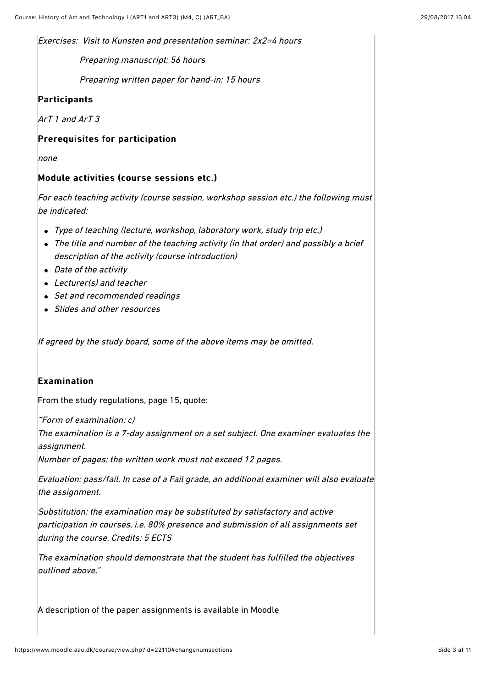Exercises: Visit to Kunsten and presentation seminar: 2x2=4 hours

Preparing manuscript: 56 hours

Preparing written paper for hand-in: 15 hours

### Participants

ArT 1 and ArT 3

### Prerequisites for participation

none

### Module activities (course sessions etc.)

For each teaching activity (course session, workshop session etc.) the following must be indicated:

- Type of teaching (lecture, workshop, laboratory work, study trip etc.)
- The title and number of the teaching activity (in that order) and possibly a brief description of the activity (course introduction)
- Date of the activity
- Lecturer(s) and teacher
- Set and recommended readings
- Slides and other resources

If agreed by the study board, some of the above items may be omitted.

### $Ex$ amination

From the study regulations, page 15, quote:

""Form of examination: c)

The examination is a 7-day assignment on a set subject. One examiner evaluates the assignment.

Number of pages: the written work must not exceed 12 pages.

Evaluation: pass/fail. In case of a Fail grade, an additional examiner will also evaluate the assignment.

Substitution: the examination may be substituted by satisfactory and active participation in courses, i.e. 80% presence and submission of all assignments set during the course. Credits: 5 ECTS

The examination should demonstrate that the student has fulfilled the objectives outlined above."

A description of the paper assignments is available in Moodle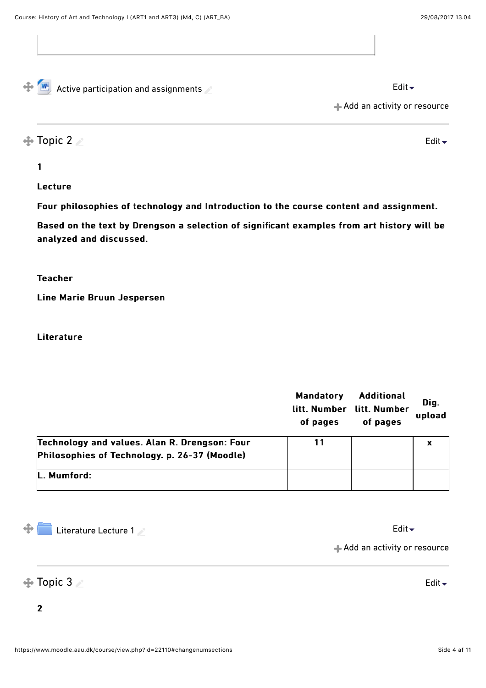[Edit](https://www.moodle.aau.dk/course/view.php?id=22110#)

 $\bigoplus_{k=1}^{\infty}$  [Active participation and assignments](https://www.moodle.aau.dk/mod/resource/view.php?id=642106)  $\bigotimes$ 

[Add an activity or resource](https://www.moodle.aau.dk/course/view.php?id=22110#)

## $\triangle$  [Topic 2](https://www.moodle.aau.dk/course/view.php?id=22110#)  $\angle$

1 1

### Lecture

Four philosophies of technology and Introduction to the course content and assignment.

Based on the text by Drengson a selection of significant examples from art history will be analyzed and discussed.

### **Teacher**

Line Marie Bruun Jespersen

### **Literature**

|                                                                                                | <b>Mandatory</b><br>litt. Number<br>of pages | <b>Additional</b><br>litt. Number<br>of pages | Dig.<br>upload |
|------------------------------------------------------------------------------------------------|----------------------------------------------|-----------------------------------------------|----------------|
| Technology and values. Alan R. Drengson: Four<br>Philosophies of Technology. p. 26-37 (Moodle) | 11                                           |                                               | x              |
| L. Mumford:                                                                                    |                                              |                                               |                |

 $\oplus$ [Literature Lecture 1](https://www.moodle.aau.dk/mod/folder/view.php?id=642108)  $\sim$ 

[Add an activity or resource](https://www.moodle.aau.dk/course/view.php?id=22110#)

### $\bigoplus$  Topic 3

2 2

[Edit](https://www.moodle.aau.dk/course/view.php?id=22110#)  $\overline{\phantom{a}}$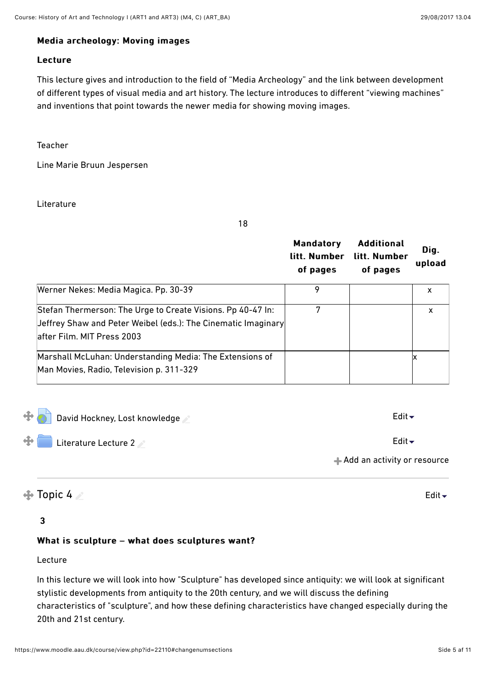#### Media archeology: Moving images

### Lecture

This lecture gives and introduction to the field of "Media Archeology" and the link between development of diferent types of visual media and art history. The lecture introduces to diferent "viewing machines" and inventions that point towards the newer media for showing moving images.

Teacher

Line Marie Bruun Jespersen

Literature

18

|                                                                                                                                                            | <b>Mandatory</b><br>litt. Number<br>of pages | <b>Additional</b><br>litt. Number<br>of pages | Dig.<br>upload |
|------------------------------------------------------------------------------------------------------------------------------------------------------------|----------------------------------------------|-----------------------------------------------|----------------|
| Werner Nekes: Media Magica. Pp. 30-39                                                                                                                      | 9                                            |                                               | x              |
| Stefan Thermerson: The Urge to Create Visions. Pp 40-47 In:<br>Jeffrey Shaw and Peter Weibel (eds.): The Cinematic Imaginary<br>after Film. MIT Press 2003 |                                              |                                               | X              |
| Marshall McLuhan: Understanding Media: The Extensions of<br>Man Movies, Radio, Television p. 311-329                                                       |                                              |                                               |                |

| 中国<br>David Hockney, Lost knowledge | Edit $\overline{\phantom{a}}$ |
|-------------------------------------|-------------------------------|
| $\bigoplus$ Literature Lecture 2    | Edit $\blacktriangleright$    |
|                                     | + Add an activity or resource |
| $\bigoplus$ Topic 4                 | Edit $\blacktriangleright$    |

### 3 3

### What is sculpture – what does sculptures want?

### Lecture

In this lecture we will look into how "Sculpture" has developed since antiquity: we will look at significant stylistic developments from antiquity to the 20th century, and we will discuss the defining characteristics of "sculpture", and how these defining characteristics have changed especially during the 20th and 21st century.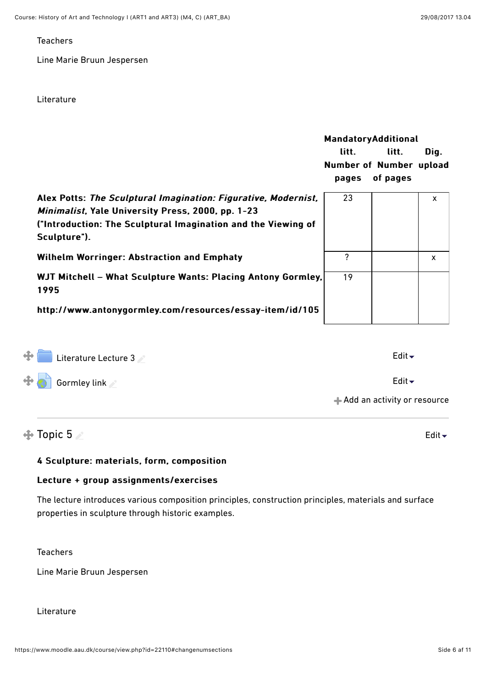### **Teachers**

Line Marie Bruun Jespersen

#### Literature

|                                                                                                                                                                                                      | <b>MandatoryAdditional</b><br>litt.<br>Number of Number upload<br>pages | litt.<br>of pages | Dig. |
|------------------------------------------------------------------------------------------------------------------------------------------------------------------------------------------------------|-------------------------------------------------------------------------|-------------------|------|
| Alex Potts: The Sculptural Imagination: Figurative, Modernist,<br>Minimalist, Yale University Press, 2000, pp. 1-23<br>("Introduction: The Sculptural Imagination and the Viewing of<br>Sculpture"). | 23                                                                      |                   | X    |
| <b>Wilhelm Worringer: Abstraction and Emphaty</b>                                                                                                                                                    | 7                                                                       |                   | X    |
| WJT Mitchell - What Sculpture Wants: Placing Antony Gormley,<br>1995<br>http://www.antonygormley.com/resources/essay-item/id/105                                                                     | 19                                                                      |                   |      |
|                                                                                                                                                                                                      |                                                                         |                   |      |

| $+$<br>Literature Lecture 3 | Edit $\overline{\phantom{a}}$ |
|-----------------------------|-------------------------------|
| $\bigoplus$ Gormley link    | Edit $\blacktriangleright$    |
|                             | Add an activity or resource   |
|                             |                               |

### $\triangle$  Topic 5

### 4 Sculpture: materials, form, composition 4 Sculpture: materials, form, composition

### Lecture + group assignments/exercises

The lecture introduces various composition principles, construction principles, materials and surface properties in sculpture through historic examples.

Teachers

Line Marie Bruun Jespersen

#### Literature

[Edit](https://www.moodle.aau.dk/course/view.php?id=22110#)  $\div$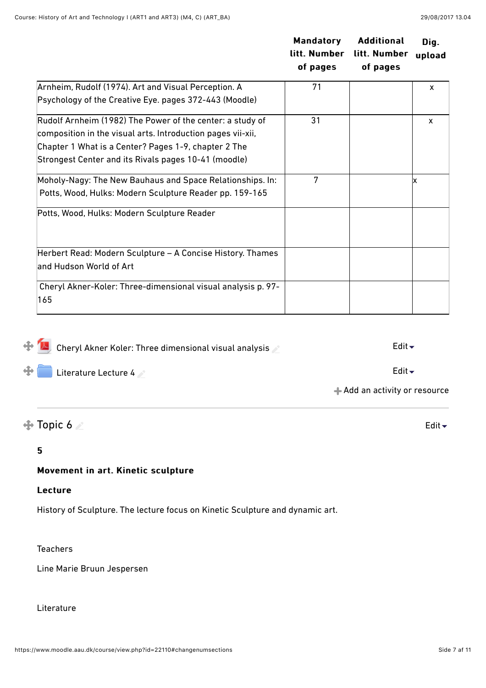|                                                                                                                                                                                  | <b>Mandatory</b><br>litt. Number<br>of pages | <b>Additional</b><br>litt. Number<br>of pages | Dig.<br>upload |
|----------------------------------------------------------------------------------------------------------------------------------------------------------------------------------|----------------------------------------------|-----------------------------------------------|----------------|
| Arnheim, Rudolf (1974). Art and Visual Perception. A                                                                                                                             | 71                                           |                                               | X              |
| Psychology of the Creative Eye. pages 372-443 (Moodle)                                                                                                                           |                                              |                                               |                |
| Rudolf Arnheim (1982) The Power of the center: a study of<br>composition in the visual arts. Introduction pages vii-xii,<br>Chapter 1 What is a Center? Pages 1-9, chapter 2 The | 31                                           |                                               | X              |
| Strongest Center and its Rivals pages 10-41 (moodle)                                                                                                                             |                                              |                                               |                |
| Moholy-Nagy: The New Bauhaus and Space Relationships. In:<br>Potts, Wood, Hulks: Modern Sculpture Reader pp. 159-165                                                             | 7                                            |                                               |                |
| Potts, Wood, Hulks: Modern Sculpture Reader                                                                                                                                      |                                              |                                               |                |
| Herbert Read: Modern Sculpture - A Concise History. Thames<br>and Hudson World of Art                                                                                            |                                              |                                               |                |
| Cheryl Akner-Koler: Three-dimensional visual analysis p. 97-<br>165                                                                                                              |                                              |                                               |                |

| $\bigoplus_{k=1}^{\infty}$ Cheryl Akner Koler: Three dimensional visual analysis | Edit $\blacktriangleright$  |
|----------------------------------------------------------------------------------|-----------------------------|
| $\bigoplus$ Literature Lecture 4                                                 | Edit $\div$                 |
|                                                                                  | Add an activity or resource |

# $\bigoplus$  Topic 6

### 5 5

### Movement in art. Kinetic sculpture

### Lecture

History of Sculpture. The lecture focus on Kinetic Sculpture and dynamic art.

**Teachers** 

Line Marie Bruun Jespersen

Literature

[Edit](https://www.moodle.aau.dk/course/view.php?id=22110#)  $\overline{\phantom{a}}$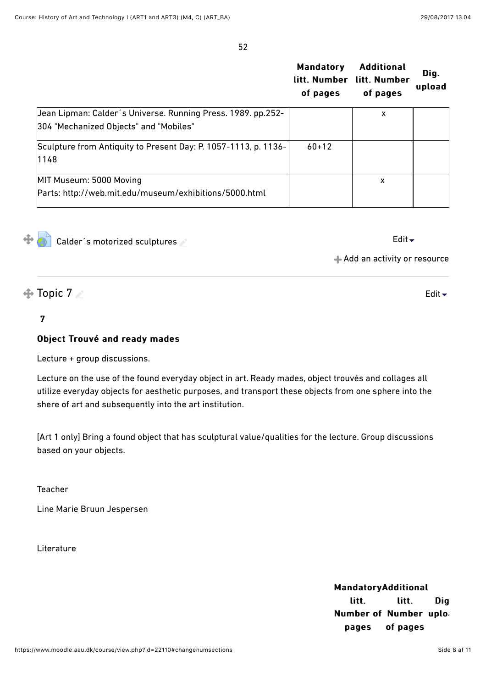52

|                                                                 | <b>Mandatory</b><br>litt. Number<br>of pages | <b>Additional</b><br>litt. Number<br>of pages | Dig.<br>upload |
|-----------------------------------------------------------------|----------------------------------------------|-----------------------------------------------|----------------|
| Jean Lipman: Calder's Universe. Running Press. 1989. pp.252-    |                                              | x                                             |                |
| 304 "Mechanized Objects" and "Mobiles"                          |                                              |                                               |                |
| Sculpture from Antiquity to Present Day: P. 1057-1113, p. 1136- | $60 + 12$                                    |                                               |                |
| 1148                                                            |                                              |                                               |                |
| MIT Museum: 5000 Moving                                         |                                              | X                                             |                |
| Parts: http://web.mit.edu/museum/exhibitions/5000.html          |                                              |                                               |                |

Calder's motorized sculptures and the control of the control of the control of the control of the control of the control of the control of the control of the control of the control of the control of the control of the cont

[Edit](https://www.moodle.aau.dk/course/view.php?id=22110#)  $\overline{\phantom{a}}$ 

[Add an activity or resource](https://www.moodle.aau.dk/course/view.php?id=22110#)

 $\triangle$  Topic 7

### 7 7

4

### Object Trouvé and ready mades

Lecture + group discussions.

Lecture on the use of the found everyday object in art. Ready mades, object trouvés and collages all utilize everyday objects for aesthetic purposes, and transport these objects from one sphere into the shere of art and subsequently into the art institution.

[Art 1 only] Bring a found object that has sculptural value/qualities for the lecture. Group discussions based on your objects.

Teacher

Line Marie Bruun Jespersen

**Literature** 

**Mandatory Additional** litt. Number of Number uploa pages litt. of pages Dig. Dig.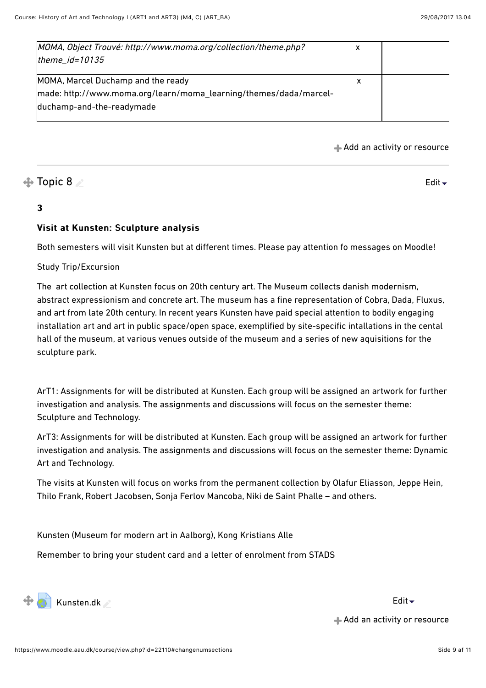| MOMA, Object Trouvé: http://www.moma.org/collection/theme.php?    | х |  |
|-------------------------------------------------------------------|---|--|
| theme $id = 10135$                                                |   |  |
| MOMA, Marcel Duchamp and the ready                                | х |  |
|                                                                   |   |  |
| made: http://www.moma.org/learn/moma_learning/themes/dada/marcel- |   |  |
| duchamp-and-the-readymade                                         |   |  |
|                                                                   |   |  |

[Add an activity or resource](https://www.moodle.aau.dk/course/view.php?id=22110#)

### $\bigoplus$  Topic 8

#### [Edit](https://www.moodle.aau.dk/course/view.php?id=22110#) $\overline{\phantom{a}}$

### 3 3

### Visit at Kunsten: Sculpture analysis

Both semesters will visit Kunsten but at diferent times. Please pay attention fo messages on Moodle!

Study Trip/Excursion

The art collection at Kunsten focus on 20th century art. The Museum collects danish modernism, abstract expressionism and concrete art. The museum has a fine representation of Cobra, Dada, Fluxus, and art from late 20th century. In recent years Kunsten have paid special attention to bodily engaging installation art and art in public space/open space, exemplified by site-specific intallations in the cental hall of the museum, at various venues outside of the museum and a series of new aquisitions for the sculpture park.

ArT1: Assignments for will be distributed at Kunsten. Each group will be assigned an artwork for further investigation and analysis. The assignments and discussions will focus on the semester theme: Sculpture and Technology.

ArT3: Assignments for will be distributed at Kunsten. Each group will be assigned an artwork for further investigation and analysis. The assignments and discussions will focus on the semester theme: Dynamic Art and Technology.

The visits at Kunsten will focus on works from the permanent collection by Olafur Eliasson, Jeppe Hein, Thilo Frank, Robert Jacobsen, Sonja Ferlov Mancoba, Niki de Saint Phalle – and others.

Kunsten (Museum for modern art in Aalborg), Kong Kristians Alle

Remember to bring your student card and a letter of enrolment from STADS



[Add an activity or resource](https://www.moodle.aau.dk/course/view.php?id=22110#)